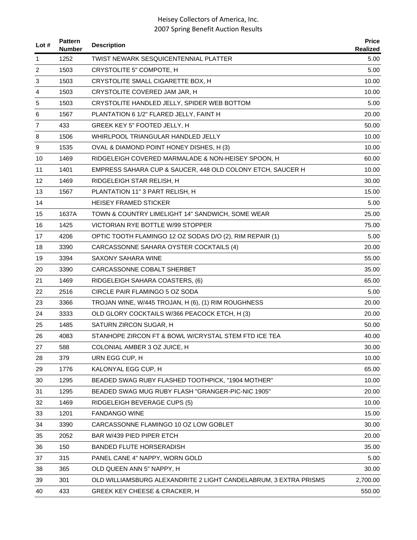| Lot #          | <b>Pattern</b><br><b>Number</b> | <b>Description</b>                                               | <b>Price</b><br>Realized |
|----------------|---------------------------------|------------------------------------------------------------------|--------------------------|
| 1              | 1252                            | TWIST NEWARK SESQUICENTENNIAL PLATTER                            | 5.00                     |
| 2              | 1503                            | CRYSTOLITE 5" COMPOTE, H                                         | 5.00                     |
| 3              | 1503                            | CRYSTOLITE SMALL CIGARETTE BOX, H                                | 10.00                    |
| 4              | 1503                            | CRYSTOLITE COVERED JAM JAR, H                                    | 10.00                    |
| 5              | 1503                            | CRYSTOLITE HANDLED JELLY, SPIDER WEB BOTTOM                      | 5.00                     |
| 6              | 1567                            | PLANTATION 6 1/2" FLARED JELLY, FAINT H                          | 20.00                    |
| $\overline{7}$ | 433                             | GREEK KEY 5" FOOTED JELLY, H                                     | 50.00                    |
| 8              | 1506                            | WHIRLPOOL TRIANGULAR HANDLED JELLY                               | 10.00                    |
| 9              | 1535                            | OVAL & DIAMOND POINT HONEY DISHES, H (3)                         | 10.00                    |
| 10             | 1469                            | RIDGELEIGH COVERED MARMALADE & NON-HEISEY SPOON, H               | 60.00                    |
| 11             | 1401                            | EMPRESS SAHARA CUP & SAUCER, 448 OLD COLONY ETCH, SAUCER H       | 10.00                    |
| 12             | 1469                            | RIDGELEIGH STAR RELISH, H                                        | 30.00                    |
| 13             | 1567                            | PLANTATION 11" 3 PART RELISH, H                                  | 15.00                    |
| 14             |                                 | <b>HEISEY FRAMED STICKER</b>                                     | 5.00                     |
| 15             | 1637A                           | TOWN & COUNTRY LIMELIGHT 14" SANDWICH, SOME WEAR                 | 25.00                    |
| 16             | 1425                            | VICTORIAN RYE BOTTLE W/99 STOPPER                                | 75.00                    |
| 17             | 4206                            | OPTIC TOOTH FLAMINGO 12 OZ SODAS D/O (2), RIM REPAIR (1)         | 5.00                     |
| 18             | 3390                            | CARCASSONNE SAHARA OYSTER COCKTAILS (4)                          | 20.00                    |
| 19             | 3394                            | SAXONY SAHARA WINE                                               | 55.00                    |
| 20             | 3390                            | CARCASSONNE COBALT SHERBET                                       | 35.00                    |
| 21             | 1469                            | RIDGELEIGH SAHARA COASTERS, (6)                                  | 65.00                    |
| 22             | 2516                            | CIRCLE PAIR FLAMINGO 5 OZ SODA                                   | 5.00                     |
| 23             | 3366                            | TROJAN WINE, W/445 TROJAN, H (6), (1) RIM ROUGHNESS              | 20.00                    |
| 24             | 3333                            | OLD GLORY COCKTAILS W/366 PEACOCK ETCH, H (3)                    | 20.00                    |
| 25             | 1485                            | SATURN ZIRCON SUGAR, H                                           | 50.00                    |
| 26             | 4083                            | STANHOPE ZIRCON FT & BOWL W/CRYSTAL STEM FTD ICE TEA             | 40.00                    |
| 27             | 588                             | COLONIAL AMBER 3 OZ JUICE, H                                     | 30.00                    |
| 28             | 379                             | URN EGG CUP, H                                                   | 10.00                    |
| 29             | 1776                            | KALONYAL EGG CUP, H                                              | 65.00                    |
| 30             | 1295                            | BEADED SWAG RUBY FLASHED TOOTHPICK, "1904 MOTHER"                | 10.00                    |
| 31             | 1295                            | BEADED SWAG MUG RUBY FLASH "GRANGER-PIC-NIC 1905"                | 20.00                    |
| 32             | 1469                            | RIDGELEIGH BEVERAGE CUPS (5)                                     | 10.00                    |
| 33             | 1201                            | <b>FANDANGO WINE</b>                                             | 15.00                    |
| 34             | 3390                            | CARCASSONNE FLAMINGO 10 OZ LOW GOBLET                            | 30.00                    |
| 35             | 2052                            | BAR W/439 PIED PIPER ETCH                                        | 20.00                    |
| 36             | 150                             | <b>BANDED FLUTE HORSERADISH</b>                                  | 35.00                    |
| 37             | 315                             | PANEL CANE 4" NAPPY, WORN GOLD                                   | 5.00                     |
| 38             | 365                             | OLD QUEEN ANN 5" NAPPY, H                                        | 30.00                    |
| 39             | 301                             | OLD WILLIAMSBURG ALEXANDRITE 2 LIGHT CANDELABRUM, 3 EXTRA PRISMS | 2,700.00                 |
| 40             | 433                             | GREEK KEY CHEESE & CRACKER, H                                    | 550.00                   |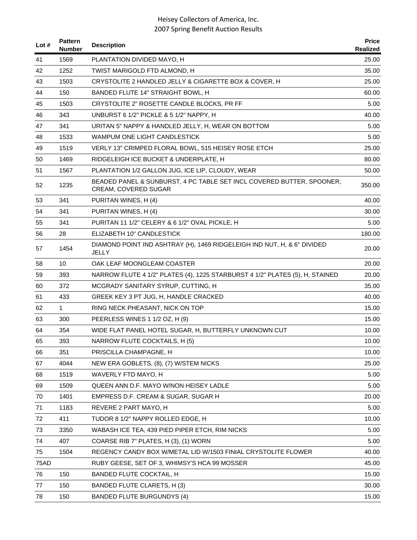| Lot # | <b>Pattern</b><br><b>Number</b> | <b>Description</b>                                                                            | <b>Price</b><br>Realized |
|-------|---------------------------------|-----------------------------------------------------------------------------------------------|--------------------------|
| 41    | 1569                            | PLANTATION DIVIDED MAYO, H                                                                    | 25.00                    |
| 42    | 1252                            | TWIST MARIGOLD FTD ALMOND, H                                                                  | 35.00                    |
| 43    | 1503                            | CRYSTOLITE 2 HANDLED JELLY & CIGARETTE BOX & COVER, H                                         | 25.00                    |
| 44    | 150                             | BANDED FLUTE 14" STRAIGHT BOWL, H                                                             | 60.00                    |
| 45    | 1503                            | CRYSTOLITE 2" ROSETTE CANDLE BLOCKS, PR FF                                                    | 5.00                     |
| 46    | 343                             | UNBURST 6 1/2" PICKLE & 5 1/2" NAPPY, H                                                       | 40.00                    |
| 47    | 341                             | URITAN 5" NAPPY & HANDLED JELLY, H, WEAR ON BOTTOM                                            | 5.00                     |
| 48    | 1533                            | WAMPUM ONE LIGHT CANDLESTICK                                                                  | 5.00                     |
| 49    | 1519                            | VERLY 13" CRIMPED FLORAL BOWL, 515 HEISEY ROSE ETCH                                           | 25.00                    |
| 50    | 1469                            | RIDGELEIGH ICE BUCKET & UNDERPLATE, H                                                         | 80.00                    |
| 51    | 1567                            | PLANTATION 1/2 GALLON JUG, ICE LIP, CLOUDY, WEAR                                              | 50.00                    |
| 52    | 1235                            | BEADED PANEL & SUNBURST, 4 PC TABLE SET INCL COVERED BUTTER, SPOONER,<br>CREAM, COVERED SUGAR | 350.00                   |
| 53    | 341                             | PURITAN WINES, H (4)                                                                          | 40.00                    |
| 54    | 341                             | PURITAN WINES, H (4)                                                                          | 30.00                    |
| 55    | 341                             | PURITAN 11 1/2" CELERY & 6 1/2" OVAL PICKLE, H                                                | 5.00                     |
| 56    | 28                              | ELIZABETH 10" CANDLESTICK                                                                     | 180.00                   |
| 57    | 1454                            | DIAMOND POINT IND ASHTRAY (H), 1469 RIDGELEIGH IND NUT, H, & 6" DIVIDED<br><b>JELLY</b>       | 20.00                    |
| 58    | 10                              | OAK LEAF MOONGLEAM COASTER                                                                    | 20.00                    |
| 59    | 393                             | NARROW FLUTE 4 1/2" PLATES (4), 1225 STARBURST 4 1/2" PLATES (5), H, STAINED                  | 20.00                    |
| 60    | 372                             | MCGRADY SANITARY SYRUP, CUTTING, H                                                            | 35.00                    |
| 61    | 433                             | GREEK KEY 3 PT JUG, H, HANDLE CRACKED                                                         | 40.00                    |
| 62    | $\mathbf{1}$                    | RING NECK PHEASANT, NICK ON TOP                                                               | 15.00                    |
| 63    | 300                             | PEERLESS WINES 1 1/2 OZ, H (9)                                                                | 15.00                    |
| 64    | 354                             | WIDE FLAT PANEL HOTEL SUGAR, H, BUTTERFLY UNKNOWN CUT                                         | 10.00                    |
| 65    | 393                             | NARROW FLUTE COCKTAILS, H (5)                                                                 | 10.00                    |
| 66    | 351                             | PRISCILLA CHAMPAGNE, H                                                                        | 10.00                    |
| 67    | 4044                            | NEW ERA GOBLETS, (8), (7) W/STEM NICKS                                                        | 25.00                    |
| 68    | 1519                            | WAVERLY FTD MAYO, H                                                                           | 5.00                     |
| 69    | 1509                            | QUEEN ANN D.F. MAYO W/NON HEISEY LADLE                                                        | 5.00                     |
| 70    | 1401                            | EMPRESS D.F. CREAM & SUGAR, SUGAR H                                                           | 20.00                    |
| 71    | 1183                            | REVERE 2 PART MAYO, H                                                                         | 5.00                     |
| 72    | 411                             | TUDOR 8 1/2" NAPPY ROLLED EDGE, H                                                             | 10.00                    |
| 73    | 3350                            | WABASH ICE TEA, 439 PIED PIPER ETCH, RIM NICKS                                                | 5.00                     |
| 74    | 407                             | COARSE RIB 7" PLATES, H (3), (1) WORN                                                         | 5.00                     |
| 75    | 1504                            | REGENCY CANDY BOX W/METAL LID W/1503 FINIAL CRYSTOLITE FLOWER                                 | 40.00                    |
| 75AD  |                                 | RUBY GEESE, SET OF 3, WHIMSY'S HCA 99 MOSSER                                                  | 45.00                    |
| 76    | 150                             | <b>BANDED FLUTE COCKTAIL, H</b>                                                               | 15.00                    |
| 77    | 150                             | BANDED FLUTE CLARETS, H (3)                                                                   | 30.00                    |
| 78    | 150                             | <b>BANDED FLUTE BURGUNDYS (4)</b>                                                             | 15.00                    |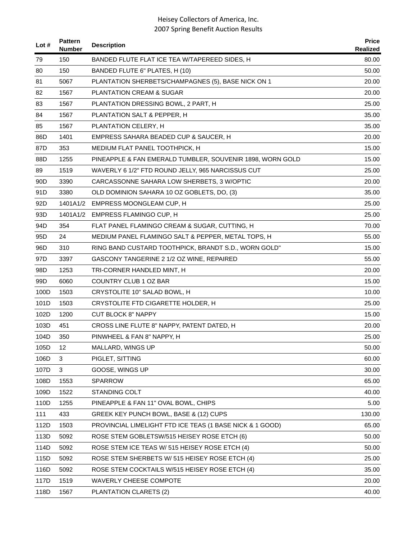| Lot #           | <b>Pattern</b><br><b>Number</b> | <b>Description</b>                                        | <b>Price</b><br>Realized |
|-----------------|---------------------------------|-----------------------------------------------------------|--------------------------|
| 79              | 150                             | BANDED FLUTE FLAT ICE TEA W/TAPEREED SIDES, H             | 80.00                    |
| 80              | 150                             | BANDED FLUTE 6" PLATES, H (10)                            | 50.00                    |
| 81              | 5067                            | PLANTATION SHERBETS/CHAMPAGNES (5), BASE NICK ON 1        | 20.00                    |
| 82              | 1567                            | PLANTATION CREAM & SUGAR                                  | 20.00                    |
| 83              | 1567                            | PLANTATION DRESSING BOWL, 2 PART, H                       | 25.00                    |
| 84              | 1567                            | PLANTATION SALT & PEPPER, H                               | 35.00                    |
| 85              | 1567                            | PLANTATION CELERY, H                                      | 35.00                    |
| 86D             | 1401                            | EMPRESS SAHARA BEADED CUP & SAUCER, H                     | 20.00                    |
| 87D             | 353                             | MEDIUM FLAT PANEL TOOTHPICK, H                            | 15.00                    |
| 88D             | 1255                            | PINEAPPLE & FAN EMERALD TUMBLER, SOUVENIR 1898, WORN GOLD | 15.00                    |
| 89              | 1519                            | WAVERLY 6 1/2" FTD ROUND JELLY, 965 NARCISSUS CUT         | 25.00                    |
| 90 <sub>D</sub> | 3390                            | CARCASSONNE SAHARA LOW SHERBETS, 3 W/OPTIC                | 20.00                    |
| 91D             | 3380                            | OLD DOMINION SAHARA 10 OZ GOBLETS, DO, (3)                | 35.00                    |
| 92D             |                                 | 1401A1/2 EMPRESS MOONGLEAM CUP, H                         | 25.00                    |
| 93D             |                                 | 1401A1/2 EMPRESS FLAMINGO CUP, H                          | 25.00                    |
| 94 <sub>D</sub> | 354                             | FLAT PANEL FLAMINGO CREAM & SUGAR, CUTTING, H             | 70.00                    |
| 95D             | 24                              | MEDIUM PANEL FLAMINGO SALT & PEPPER, METAL TOPS, H        | 55.00                    |
| 96D             | 310                             | RING BAND CUSTARD TOOTHPICK, BRANDT S.D., WORN GOLD"      | 15.00                    |
| 97 <sub>D</sub> | 3397                            | GASCONY TANGERINE 2 1/2 OZ WINE, REPAIRED                 | 55.00                    |
| 98D             | 1253                            | TRI-CORNER HANDLED MINT, H                                | 20.00                    |
| 99D             | 6060                            | COUNTRY CLUB 1 OZ BAR                                     | 15.00                    |
| 100D            | 1503                            | CRYSTOLITE 10" SALAD BOWL, H                              | 10.00                    |
| 101D            | 1503                            | CRYSTOLITE FTD CIGARETTE HOLDER, H                        | 25.00                    |
| 102D            | 1200                            | <b>CUT BLOCK 8" NAPPY</b>                                 | 15.00                    |
| 103D            | 451                             | CROSS LINE FLUTE 8" NAPPY, PATENT DATED, H                | 20.00                    |
| 104D            | 350                             | PINWHEEL & FAN 8" NAPPY, H                                | 25.00                    |
| 105D            | 12                              | MALLARD, WINGS UP                                         | 50.00                    |
| 106D            | 3                               | PIGLET, SITTING                                           | 60.00                    |
| 107D            | 3                               | GOOSE, WINGS UP                                           | 30.00                    |
| 108D            | 1553                            | <b>SPARROW</b>                                            | 65.00                    |
| 109D            | 1522                            | STANDING COLT                                             | 40.00                    |
| 110D            | 1255                            | PINEAPPLE & FAN 11" OVAL BOWL, CHIPS                      | 5.00                     |
| 111             | 433                             | GREEK KEY PUNCH BOWL, BASE & (12) CUPS                    | 130.00                   |
| 112D            | 1503                            | PROVINCIAL LIMELIGHT FTD ICE TEAS (1 BASE NICK & 1 GOOD)  | 65.00                    |
| 113D            | 5092                            | ROSE STEM GOBLETSW/515 HEISEY ROSE ETCH (6)               | 50.00                    |
| 114D            | 5092                            | ROSE STEM ICE TEAS W/ 515 HEISEY ROSE ETCH (4)            | 50.00                    |
| 115D            | 5092                            | ROSE STEM SHERBETS W/ 515 HEISEY ROSE ETCH (4)            | 25.00                    |
| 116D            | 5092                            | ROSE STEM COCKTAILS W/515 HEISEY ROSE ETCH (4)            | 35.00                    |
| 117D            | 1519                            | <b>WAVERLY CHEESE COMPOTE</b>                             | 20.00                    |
| 118D            | 1567                            | PLANTATION CLARETS (2)                                    | 40.00                    |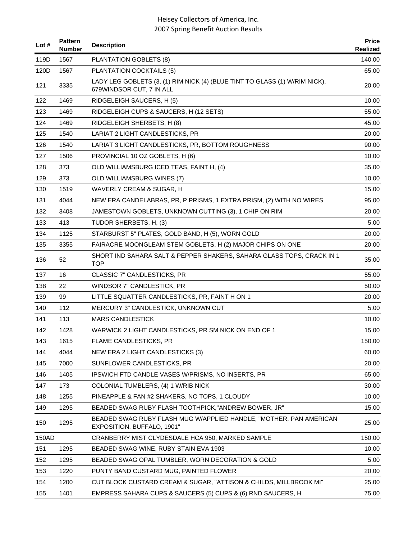| Lot $#$ | <b>Pattern</b><br><b>Number</b> | <b>Description</b>                                                                                     | <b>Price</b><br><b>Realized</b> |
|---------|---------------------------------|--------------------------------------------------------------------------------------------------------|---------------------------------|
| 119D    | 1567                            | PLANTATION GOBLETS (8)                                                                                 | 140.00                          |
| 120D    | 1567                            | <b>PLANTATION COCKTAILS (5)</b>                                                                        | 65.00                           |
| 121     | 3335                            | LADY LEG GOBLETS (3, (1) RIM NICK (4) (BLUE TINT TO GLASS (1) W/RIM NICK),<br>679WINDSOR CUT, 7 IN ALL | 20.00                           |
| 122     | 1469                            | RIDGELEIGH SAUCERS, H (5)                                                                              | 10.00                           |
| 123     | 1469                            | RIDGELEIGH CUPS & SAUCERS, H (12 SETS)                                                                 | 55.00                           |
| 124     | 1469                            | RIDGELEIGH SHERBETS, H (8)                                                                             | 45.00                           |
| 125     | 1540                            | LARIAT 2 LIGHT CANDLESTICKS, PR                                                                        | 20.00                           |
| 126     | 1540                            | LARIAT 3 LIGHT CANDLESTICKS, PR, BOTTOM ROUGHNESS                                                      | 90.00                           |
| 127     | 1506                            | PROVINCIAL 10 OZ GOBLETS, H (6)                                                                        | 10.00                           |
| 128     | 373                             | OLD WILLIAMSBURG ICED TEAS, FAINT H, (4)                                                               | 35.00                           |
| 129     | 373                             | OLD WILLIAMSBURG WINES (7)                                                                             | 10.00                           |
| 130     | 1519                            | WAVERLY CREAM & SUGAR, H                                                                               | 15.00                           |
| 131     | 4044                            | NEW ERA CANDELABRAS, PR, P PRISMS, 1 EXTRA PRISM, (2) WITH NO WIRES                                    | 95.00                           |
| 132     | 3408                            | JAMESTOWN GOBLETS, UNKNOWN CUTTING (3), 1 CHIP ON RIM                                                  | 20.00                           |
| 133     | 413                             | TUDOR SHERBETS, H, (3)                                                                                 | 5.00                            |
| 134     | 1125                            | STARBURST 5" PLATES, GOLD BAND, H (5), WORN GOLD                                                       | 20.00                           |
| 135     | 3355                            | FAIRACRE MOONGLEAM STEM GOBLETS, H (2) MAJOR CHIPS ON ONE                                              | 20.00                           |
| 136     | 52                              | SHORT IND SAHARA SALT & PEPPER SHAKERS, SAHARA GLASS TOPS, CRACK IN 1<br><b>TOP</b>                    | 35.00                           |
| 137     | 16                              | CLASSIC 7" CANDLESTICKS, PR                                                                            | 55.00                           |
| 138     | 22                              | WINDSOR 7" CANDLESTICK, PR                                                                             | 50.00                           |
| 139     | 99                              | LITTLE SQUATTER CANDLESTICKS, PR, FAINT H ON 1                                                         | 20.00                           |
| 140     | 112                             | MERCURY 3" CANDLESTICK, UNKNOWN CUT                                                                    | 5.00                            |
| 141     | 113                             | <b>MARS CANDLESTICK</b>                                                                                | 10.00                           |
| 142     | 1428                            | WARWICK 2 LIGHT CANDLESTICKS, PR SM NICK ON END OF 1                                                   | 15.00                           |
| 143     | 1615                            | <b>FLAME CANDLESTICKS, PR</b>                                                                          | 150.00                          |
| 144     | 4044                            | NEW ERA 2 LIGHT CANDLESTICKS (3)                                                                       | 60.00                           |
| 145     | 7000                            | SUNFLOWER CANDLESTICKS, PR                                                                             | 20.00                           |
| 146     | 1405                            | IPSWICH FTD CANDLE VASES W/PRISMS, NO INSERTS, PR                                                      | 65.00                           |
| 147     | 173                             | COLONIAL TUMBLERS, (4) 1 W/RIB NICK                                                                    | 30.00                           |
| 148     | 1255                            | PINEAPPLE & FAN #2 SHAKERS, NO TOPS, 1 CLOUDY                                                          | 10.00                           |
| 149     | 1295                            | BEADED SWAG RUBY FLASH TOOTHPICK, "ANDREW BOWER, JR"                                                   | 15.00                           |
| 150     | 1295                            | BEADED SWAG RUBY FLASH MUG W/APPLIED HANDLE, "MOTHER, PAN AMERICAN<br>EXPOSITION, BUFFALO, 1901"       | 25.00                           |
| 150AD   |                                 | CRANBERRY MIST CLYDESDALE HCA 950, MARKED SAMPLE                                                       | 150.00                          |
| 151     | 1295                            | BEADED SWAG WINE, RUBY STAIN EVA 1903                                                                  | 10.00                           |
| 152     | 1295                            | BEADED SWAG OPAL TUMBLER, WORN DECORATION & GOLD                                                       | 5.00                            |
| 153     | 1220                            | PUNTY BAND CUSTARD MUG, PAINTED FLOWER                                                                 | 20.00                           |
| 154     | 1200                            | CUT BLOCK CUSTARD CREAM & SUGAR, "ATTISON & CHILDS, MILLBROOK MI"                                      | 25.00                           |
| 155     | 1401                            | EMPRESS SAHARA CUPS & SAUCERS (5) CUPS & (6) RND SAUCERS, H                                            | 75.00                           |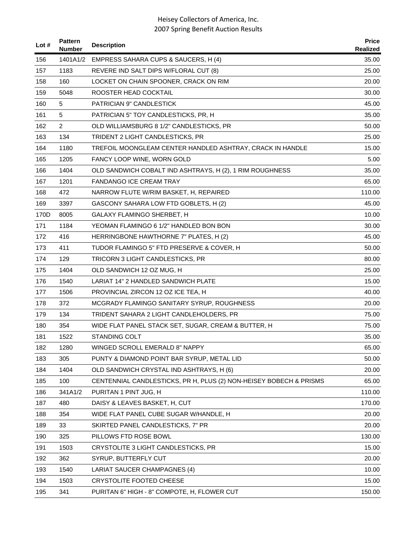| Lot # | <b>Pattern</b><br><b>Number</b> | <b>Description</b>                                                 | <b>Price</b><br><b>Realized</b> |
|-------|---------------------------------|--------------------------------------------------------------------|---------------------------------|
| 156   |                                 | 1401A1/2 EMPRESS SAHARA CUPS & SAUCERS, H (4)                      | 35.00                           |
| 157   | 1183                            | REVERE IND SALT DIPS W/FLORAL CUT (8)                              | 25.00                           |
| 158   | 160                             | LOCKET ON CHAIN SPOONER, CRACK ON RIM                              | 20.00                           |
| 159   | 5048                            | ROOSTER HEAD COCKTAIL                                              | 30.00                           |
| 160   | 5                               | PATRICIAN 9" CANDLESTICK                                           | 45.00                           |
| 161   | 5                               | PATRICIAN 5" TOY CANDLESTICKS, PR, H                               | 35.00                           |
| 162   | $\overline{2}$                  | OLD WILLIAMSBURG 8 1/2" CANDLESTICKS, PR                           | 50.00                           |
| 163   | 134                             | TRIDENT 2 LIGHT CANDLESTICKS, PR                                   | 25.00                           |
| 164   | 1180                            | TREFOIL MOONGLEAM CENTER HANDLED ASHTRAY, CRACK IN HANDLE          | 15.00                           |
| 165   | 1205                            | FANCY LOOP WINE, WORN GOLD                                         | 5.00                            |
| 166   | 1404                            | OLD SANDWICH COBALT IND ASHTRAYS, H (2), 1 RIM ROUGHNESS           | 35.00                           |
| 167   | 1201                            | FANDANGO ICE CREAM TRAY                                            | 65.00                           |
| 168   | 472                             | NARROW FLUTE W/RIM BASKET, H, REPAIRED                             | 110.00                          |
| 169   | 3397                            | GASCONY SAHARA LOW FTD GOBLETS, H (2)                              | 45.00                           |
| 170D  | 8005                            | GALAXY FLAMINGO SHERBET, H                                         | 10.00                           |
| 171   | 1184                            | YEOMAN FLAMINGO 6 1/2" HANDLED BON BON                             | 30.00                           |
| 172   | 416                             | HERRINGBONE HAWTHORNE 7" PLATES, H (2)                             | 45.00                           |
| 173   | 411                             | TUDOR FLAMINGO 5" FTD PRESERVE & COVER, H                          | 50.00                           |
| 174   | 129                             | TRICORN 3 LIGHT CANDLESTICKS, PR                                   | 80.00                           |
| 175   | 1404                            | OLD SANDWICH 12 OZ MUG, H                                          | 25.00                           |
| 176   | 1540                            | LARIAT 14" 2 HANDLED SANDWICH PLATE                                | 15.00                           |
| 177   | 1506                            | PROVINCIAL ZIRCON 12 OZ ICE TEA, H                                 | 40.00                           |
| 178   | 372                             | MCGRADY FLAMINGO SANITARY SYRUP, ROUGHNESS                         | 20.00                           |
| 179   | 134                             | TRIDENT SAHARA 2 LIGHT CANDLEHOLDERS, PR                           | 75.00                           |
| 180   | 354                             | WIDE FLAT PANEL STACK SET, SUGAR, CREAM & BUTTER, H                | 75.00                           |
| 181   | 1522                            | <b>STANDING COLT</b>                                               | 35.00                           |
| 182   | 1280                            | WINGED SCROLL EMERALD 8" NAPPY                                     | 65.00                           |
| 183   | 305                             | PUNTY & DIAMOND POINT BAR SYRUP, METAL LID                         | 50.00                           |
| 184   | 1404                            | OLD SANDWICH CRYSTAL IND ASHTRAYS, H (6)                           | 20.00                           |
| 185   | 100                             | CENTENNIAL CANDLESTICKS, PR H, PLUS (2) NON-HEISEY BOBECH & PRISMS | 65.00                           |
| 186   | 341A1/2                         | PURITAN 1 PINT JUG, H                                              | 110.00                          |
| 187   | 480                             | DAISY & LEAVES BASKET, H, CUT                                      | 170.00                          |
| 188   | 354                             | WIDE FLAT PANEL CUBE SUGAR W/HANDLE, H                             | 20.00                           |
| 189   | 33                              | SKIRTED PANEL CANDLESTICKS, 7" PR                                  | 20.00                           |
| 190   | 325                             | PILLOWS FTD ROSE BOWL                                              | 130.00                          |
| 191   | 1503                            | CRYSTOLITE 3 LIGHT CANDLESTICKS, PR                                | 15.00                           |
| 192   | 362                             | SYRUP, BUTTERFLY CUT                                               | 20.00                           |
| 193   | 1540                            | LARIAT SAUCER CHAMPAGNES (4)                                       | 10.00                           |
| 194   | 1503                            | <b>CRYSTOLITE FOOTED CHEESE</b>                                    | 15.00                           |
| 195   | 341                             | PURITAN 6" HIGH - 8" COMPOTE, H, FLOWER CUT                        | 150.00                          |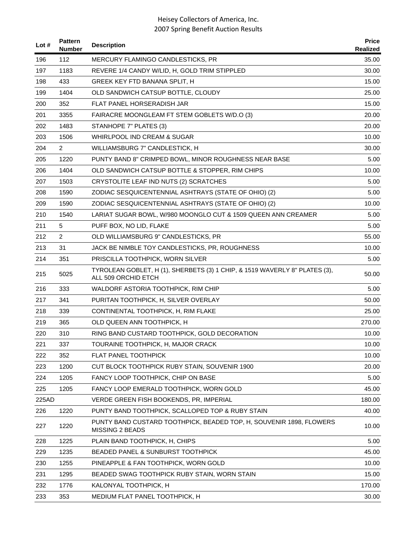| Lot # | <b>Pattern</b><br><b>Number</b> | <b>Description</b>                                                                                | <b>Price</b><br>Realized |
|-------|---------------------------------|---------------------------------------------------------------------------------------------------|--------------------------|
| 196   | 112                             | MERCURY FLAMINGO CANDLESTICKS, PR                                                                 | 35.00                    |
| 197   | 1183                            | REVERE 1/4 CANDY W/LID, H, GOLD TRIM STIPPLED                                                     | 30.00                    |
| 198   | 433                             | <b>GREEK KEY FTD BANANA SPLIT, H</b>                                                              | 15.00                    |
| 199   | 1404                            | OLD SANDWICH CATSUP BOTTLE, CLOUDY                                                                | 25.00                    |
| 200   | 352                             | <b>FLAT PANEL HORSERADISH JAR</b>                                                                 | 15.00                    |
| 201   | 3355                            | FAIRACRE MOONGLEAM FT STEM GOBLETS W/D.O (3)                                                      | 20.00                    |
| 202   | 1483                            | STANHOPE 7" PLATES (3)                                                                            | 20.00                    |
| 203   | 1506                            | WHIRLPOOL IND CREAM & SUGAR                                                                       | 10.00                    |
| 204   | $\overline{2}$                  | WILLIAMSBURG 7" CANDLESTICK, H                                                                    | 30.00                    |
| 205   | 1220                            | PUNTY BAND 8" CRIMPED BOWL, MINOR ROUGHNESS NEAR BASE                                             | 5.00                     |
| 206   | 1404                            | OLD SANDWICH CATSUP BOTTLE & STOPPER, RIM CHIPS                                                   | 10.00                    |
| 207   | 1503                            | CRYSTOLITE LEAF IND NUTS (2) SCRATCHES                                                            | 5.00                     |
| 208   | 1590                            | ZODIAC SESQUICENTENNIAL ASHTRAYS (STATE OF OHIO) (2)                                              | 5.00                     |
| 209   | 1590                            | ZODIAC SESQUICENTENNIAL ASHTRAYS (STATE OF OHIO) (2)                                              | 10.00                    |
| 210   | 1540                            | LARIAT SUGAR BOWL, W/980 MOONGLO CUT & 1509 QUEEN ANN CREAMER                                     | 5.00                     |
| 211   | 5                               | PUFF BOX, NO LID, FLAKE                                                                           | 5.00                     |
| 212   | $\overline{2}$                  | OLD WILLIAMSBURG 9" CANDLESTICKS, PR                                                              | 55.00                    |
| 213   | 31                              | JACK BE NIMBLE TOY CANDLESTICKS, PR, ROUGHNESS                                                    | 10.00                    |
| 214   | 351                             | PRISCILLA TOOTHPICK, WORN SILVER                                                                  | 5.00                     |
| 215   | 5025                            | TYROLEAN GOBLET, H (1), SHERBETS (3) 1 CHIP, & 1519 WAVERLY 8" PLATES (3),<br>ALL 509 ORCHID ETCH | 50.00                    |
| 216   | 333                             | WALDORF ASTORIA TOOTHPICK, RIM CHIP                                                               | 5.00                     |
| 217   | 341                             | PURITAN TOOTHPICK, H, SILVER OVERLAY                                                              | 50.00                    |
| 218   | 339                             | CONTINENTAL TOOTHPICK, H, RIM FLAKE                                                               | 25.00                    |
| 219   | 365                             | OLD QUEEN ANN TOOTHPICK, H                                                                        | 270.00                   |
| 220   | 310                             | RING BAND CUSTARD TOOTHPICK, GOLD DECORATION                                                      | 10.00                    |
| 221   | 337                             | TOURAINE TOOTHPICK, H, MAJOR CRACK                                                                | 10.00                    |
| 222   | 352                             | FLAT PANEL TOOTHPICK                                                                              | 10.00                    |
| 223   | 1200                            | CUT BLOCK TOOTHPICK RUBY STAIN, SOUVENIR 1900                                                     | 20.00                    |
| 224   | 1205                            | FANCY LOOP TOOTHPICK, CHIP ON BASE                                                                | 5.00                     |
| 225   | 1205                            | FANCY LOOP EMERALD TOOTHPICK, WORN GOLD                                                           | 45.00                    |
| 225AD |                                 | VERDE GREEN FISH BOOKENDS, PR, IMPERIAL                                                           | 180.00                   |
| 226   | 1220                            | PUNTY BAND TOOTHPICK, SCALLOPED TOP & RUBY STAIN                                                  | 40.00                    |
| 227   | 1220                            | PUNTY BAND CUSTARD TOOTHPICK, BEADED TOP, H, SOUVENIR 1898, FLOWERS<br>MISSING 2 BEADS            | 10.00                    |
| 228   | 1225                            | PLAIN BAND TOOTHPICK, H, CHIPS                                                                    | 5.00                     |
| 229   | 1235                            | BEADED PANEL & SUNBURST TOOTHPICK                                                                 | 45.00                    |
| 230   | 1255                            | PINEAPPLE & FAN TOOTHPICK, WORN GOLD                                                              | 10.00                    |
| 231   | 1295                            | BEADED SWAG TOOTHPICK RUBY STAIN, WORN STAIN                                                      | 15.00                    |
| 232   | 1776                            | KALONYAL TOOTHPICK, H                                                                             | 170.00                   |
| 233   | 353                             | MEDIUM FLAT PANEL TOOTHPICK, H                                                                    | 30.00                    |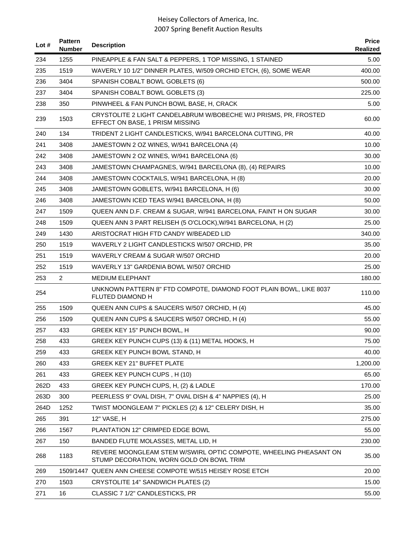| Lot $#$ | <b>Pattern</b><br><b>Number</b> | <b>Description</b>                                                                                            | <b>Price</b><br>Realized |
|---------|---------------------------------|---------------------------------------------------------------------------------------------------------------|--------------------------|
| 234     | 1255                            | PINEAPPLE & FAN SALT & PEPPERS, 1 TOP MISSING, 1 STAINED                                                      | 5.00                     |
| 235     | 1519                            | WAVERLY 10 1/2" DINNER PLATES, W/509 ORCHID ETCH, (6), SOME WEAR                                              | 400.00                   |
| 236     | 3404                            | SPANISH COBALT BOWL GOBLETS (6)                                                                               | 500.00                   |
| 237     | 3404                            | SPANISH COBALT BOWL GOBLETS (3)                                                                               | 225.00                   |
| 238     | 350                             | PINWHEEL & FAN PUNCH BOWL BASE, H, CRACK                                                                      | 5.00                     |
| 239     | 1503                            | CRYSTOLITE 2 LIGHT CANDELABRUM W/BOBECHE W/J PRISMS, PR, FROSTED<br>EFFECT ON BASE, 1 PRISM MISSING           | 60.00                    |
| 240     | 134                             | TRIDENT 2 LIGHT CANDLESTICKS, W/941 BARCELONA CUTTING, PR                                                     | 40.00                    |
| 241     | 3408                            | JAMESTOWN 2 OZ WINES, W/941 BARCELONA (4)                                                                     | 10.00                    |
| 242     | 3408                            | JAMESTOWN 2 OZ WINES, W/941 BARCELONA (6)                                                                     | 30.00                    |
| 243     | 3408                            | JAMESTOWN CHAMPAGNES, W/941 BARCELONA (8), (4) REPAIRS                                                        | 10.00                    |
| 244     | 3408                            | JAMESTOWN COCKTAILS, W/941 BARCELONA, H (8)                                                                   | 20.00                    |
| 245     | 3408                            | JAMESTOWN GOBLETS, W/941 BARCELONA, H (6)                                                                     | 30.00                    |
| 246     | 3408                            | JAMESTOWN ICED TEAS W/941 BARCELONA, H (8)                                                                    | 50.00                    |
| 247     | 1509                            | QUEEN ANN D.F. CREAM & SUGAR, W/941 BARCELONA, FAINT H ON SUGAR                                               | 30.00                    |
| 248     | 1509                            | QUEEN ANN 3 PART RELISEH (5 O'CLOCK), W/941 BARCELONA, H (2)                                                  | 25.00                    |
| 249     | 1430                            | ARISTOCRAT HIGH FTD CANDY W/BEADED LID                                                                        | 340.00                   |
| 250     | 1519                            | WAVERLY 2 LIGHT CANDLESTICKS W/507 ORCHID, PR                                                                 | 35.00                    |
| 251     | 1519                            | WAVERLY CREAM & SUGAR W/507 ORCHID                                                                            | 20.00                    |
| 252     | 1519                            | WAVERLY 13" GARDENIA BOWL W/507 ORCHID                                                                        | 25.00                    |
| 253     | $\overline{2}$                  | <b>MEDIUM ELEPHANT</b>                                                                                        | 180.00                   |
| 254     |                                 | UNKNOWN PATTERN 8" FTD COMPOTE, DIAMOND FOOT PLAIN BOWL, LIKE 8037<br>FLUTED DIAMOND H                        | 110.00                   |
| 255     | 1509                            | QUEEN ANN CUPS & SAUCERS W/507 ORCHID, H (4)                                                                  | 45.00                    |
| 256     | 1509                            | QUEEN ANN CUPS & SAUCERS W/507 ORCHID, H (4)                                                                  | 55.00                    |
| 257     | 433                             | GREEK KEY 15" PUNCH BOWL, H                                                                                   | 90.00                    |
| 258     | 433                             | GREEK KEY PUNCH CUPS (13) & (11) METAL HOOKS, H                                                               | 75.00                    |
| 259     | 433                             | GREEK KEY PUNCH BOWL STAND, H                                                                                 | 40.00                    |
| 260     | 433                             | <b>GREEK KEY 21" BUFFET PLATE</b>                                                                             | 1,200.00                 |
| 261     | 433                             | GREEK KEY PUNCH CUPS, H (10)                                                                                  | 65.00                    |
| 262D    | 433                             | GREEK KEY PUNCH CUPS, H, (2) & LADLE                                                                          | 170.00                   |
| 263D    | 300                             | PEERLESS 9" OVAL DISH, 7" OVAL DISH & 4" NAPPIES (4), H                                                       | 25.00                    |
| 264D    | 1252                            | TWIST MOONGLEAM 7" PICKLES (2) & 12" CELERY DISH, H                                                           | 35.00                    |
| 265     | 391                             | 12" VASE, H                                                                                                   | 275.00                   |
| 266     | 1567                            | PLANTATION 12" CRIMPED EDGE BOWL                                                                              | 55.00                    |
| 267     | 150                             | BANDED FLUTE MOLASSES, METAL LID, H                                                                           | 230.00                   |
| 268     | 1183                            | REVERE MOONGLEAM STEM W/SWIRL OPTIC COMPOTE, WHEELING PHEASANT ON<br>STUMP DECORATION, WORN GOLD ON BOWL TRIM | 35.00                    |
| 269     |                                 | 1509/1447 QUEEN ANN CHEESE COMPOTE W/515 HEISEY ROSE ETCH                                                     | 20.00                    |
| 270     | 1503                            | CRYSTOLITE 14" SANDWICH PLATES (2)                                                                            | 15.00                    |
| 271     | 16                              | CLASSIC 7 1/2" CANDLESTICKS, PR                                                                               | 55.00                    |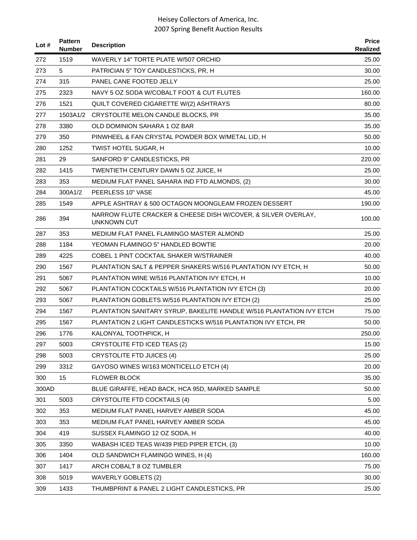| Lot $#$ | <b>Pattern</b><br>Number | <b>Description</b>                                                                  | <b>Price</b><br><b>Realized</b> |
|---------|--------------------------|-------------------------------------------------------------------------------------|---------------------------------|
| 272     | 1519                     | WAVERLY 14" TORTE PLATE W/507 ORCHID                                                | 25.00                           |
| 273     | 5                        | PATRICIAN 5" TOY CANDLESTICKS, PR, H                                                | 30.00                           |
| 274     | 315                      | PANEL CANE FOOTED JELLY                                                             | 25.00                           |
| 275     | 2323                     | NAVY 5 OZ SODA W/COBALT FOOT & CUT FLUTES                                           | 160.00                          |
| 276     | 1521                     | QUILT COVERED CIGARETTE W/(2) ASHTRAYS                                              | 80.00                           |
| 277     | 1503A1/2                 | CRYSTOLITE MELON CANDLE BLOCKS, PR                                                  | 35.00                           |
| 278     | 3380                     | OLD DOMINION SAHARA 1 OZ BAR                                                        | 35.00                           |
| 279     | 350                      | PINWHEEL & FAN CRYSTAL POWDER BOX W/METAL LID, H                                    | 50.00                           |
| 280     | 1252                     | TWIST HOTEL SUGAR, H                                                                | 10.00                           |
| 281     | 29                       | SANFORD 9" CANDLESTICKS, PR                                                         | 220.00                          |
| 282     | 1415                     | TWENTIETH CENTURY DAWN 5 OZ JUICE, H                                                | 25.00                           |
| 283     | 353                      | MEDIUM FLAT PANEL SAHARA IND FTD ALMONDS, (2)                                       | 30.00                           |
| 284     | 300A1/2                  | PEERLESS 10" VASE                                                                   | 45.00                           |
| 285     | 1549                     | APPLE ASHTRAY & 500 OCTAGON MOONGLEAM FROZEN DESSERT                                | 190.00                          |
| 286     | 394                      | NARROW FLUTE CRACKER & CHEESE DISH W/COVER, & SILVER OVERLAY,<br><b>UNKNOWN CUT</b> | 100.00                          |
| 287     | 353                      | MEDIUM FLAT PANEL FLAMINGO MASTER ALMOND                                            | 25.00                           |
| 288     | 1184                     | YEOMAN FLAMINGO 5" HANDLED BOWTIE                                                   | 20.00                           |
| 289     | 4225                     | COBEL 1 PINT COCKTAIL SHAKER W/STRAINER                                             | 40.00                           |
| 290     | 1567                     | PLANTATION SALT & PEPPER SHAKERS W/516 PLANTATION IVY ETCH, H                       | 50.00                           |
| 291     | 5067                     | PLANTATION WINE W/516 PLANTATION IVY ETCH, H                                        | 10.00                           |
| 292     | 5067                     | PLANTATION COCKTAILS W/516 PLANTATION IVY ETCH (3)                                  | 20.00                           |
| 293     | 5067                     | PLANTATION GOBLETS W/516 PLANTATION IVY ETCH (2)                                    | 25.00                           |
| 294     | 1567                     | PLANTATION SANITARY SYRUP, BAKELITE HANDLE W/516 PLANTATION IVY ETCH                | 75.00                           |
| 295     | 1567                     | PLANTATION 2 LIGHT CANDLESTICKS W/516 PLANTATION IVY ETCH, PR                       | 50.00                           |
| 296     | 1776                     | KALONYAL TOOTHPICK, H                                                               | 250.00                          |
| 297     | 5003                     | <b>CRYSTOLITE FTD ICED TEAS (2)</b>                                                 | 15.00                           |
| 298     | 5003                     | <b>CRYSTOLITE FTD JUICES (4)</b>                                                    | 25.00                           |
| 299     | 3312                     | GAYOSO WINES W/163 MONTICELLO ETCH (4)                                              | 20.00                           |
| 300     | 15                       | <b>FLOWER BLOCK</b>                                                                 | 35.00                           |
| 300AD   |                          | BLUE GIRAFFE, HEAD BACK, HCA 95D, MARKED SAMPLE                                     | 50.00                           |
| 301     | 5003                     | <b>CRYSTOLITE FTD COCKTAILS (4)</b>                                                 | 5.00                            |
| 302     | 353                      | MEDIUM FLAT PANEL HARVEY AMBER SODA                                                 | 45.00                           |
| 303     | 353                      | MEDIUM FLAT PANEL HARVEY AMBER SODA                                                 | 45.00                           |
| 304     | 419                      | SUSSEX FLAMINGO 12 OZ SODA, H                                                       | 40.00                           |
| 305     | 3350                     | WABASH ICED TEAS W/439 PIED PIPER ETCH, (3)                                         | 10.00                           |
| 306     | 1404                     | OLD SANDWICH FLAMINGO WINES, H (4)                                                  | 160.00                          |
| 307     | 1417                     | ARCH COBALT 8 OZ TUMBLER                                                            | 75.00                           |
| 308     | 5019                     | WAVERLY GOBLETS (2)                                                                 | 30.00                           |
| 309     | 1433                     | THUMBPRINT & PANEL 2 LIGHT CANDLESTICKS, PR                                         | 25.00                           |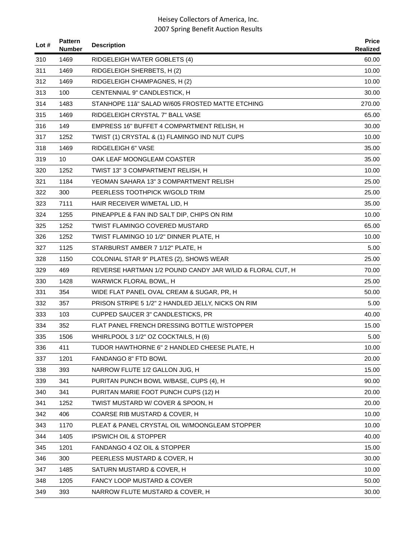| Lot $#$ | <b>Pattern</b><br><b>Number</b> | <b>Description</b>                                        | <b>Price</b><br>Realized |
|---------|---------------------------------|-----------------------------------------------------------|--------------------------|
| 310     | 1469                            | RIDGELEIGH WATER GOBLETS (4)                              | 60.00                    |
| 311     | 1469                            | RIDGELEIGH SHERBETS, H(2)                                 | 10.00                    |
| 312     | 1469                            | RIDGELEIGH CHAMPAGNES, H (2)                              | 10.00                    |
| 313     | 100                             | CENTENNIAL 9" CANDLESTICK, H                              | 30.00                    |
| 314     | 1483                            | STANHOPE 11â" SALAD W/605 FROSTED MATTE ETCHING           | 270.00                   |
| 315     | 1469                            | RIDGELEIGH CRYSTAL 7" BALL VASE                           | 65.00                    |
| 316     | 149                             | EMPRESS 16" BUFFET 4 COMPARTMENT RELISH, H                | 30.00                    |
| 317     | 1252                            | TWIST (1) CRYSTAL & (1) FLAMINGO IND NUT CUPS             | 10.00                    |
| 318     | 1469                            | RIDGELEIGH 6" VASE                                        | 35.00                    |
| 319     | 10                              | OAK LEAF MOONGLEAM COASTER                                | 35.00                    |
| 320     | 1252                            | TWIST 13" 3 COMPARTMENT RELISH, H                         | 10.00                    |
| 321     | 1184                            | YEOMAN SAHARA 13" 3 COMPARTMENT RELISH                    | 25.00                    |
| 322     | 300                             | PEERLESS TOOTHPICK W/GOLD TRIM                            | 25.00                    |
| 323     | 7111                            | HAIR RECEIVER W/METAL LID, H                              | 35.00                    |
| 324     | 1255                            | PINEAPPLE & FAN IND SALT DIP, CHIPS ON RIM                | 10.00                    |
| 325     | 1252                            | <b>TWIST FLAMINGO COVERED MUSTARD</b>                     | 65.00                    |
| 326     | 1252                            | TWIST FLAMINGO 10 1/2" DINNER PLATE, H                    | 10.00                    |
| 327     | 1125                            | STARBURST AMBER 7 1/12" PLATE, H                          | 5.00                     |
| 328     | 1150                            | COLONIAL STAR 9" PLATES (2), SHOWS WEAR                   | 25.00                    |
| 329     | 469                             | REVERSE HARTMAN 1/2 POUND CANDY JAR W/LID & FLORAL CUT, H | 70.00                    |
| 330     | 1428                            | WARWICK FLORAL BOWL, H                                    | 25.00                    |
| 331     | 354                             | WIDE FLAT PANEL OVAL CREAM & SUGAR, PR, H                 | 50.00                    |
| 332     | 357                             | PRISON STRIPE 5 1/2" 2 HANDLED JELLY, NICKS ON RIM        | 5.00                     |
| 333     | 103                             | <b>CUPPED SAUCER 3" CANDLESTICKS, PR</b>                  | 40.00                    |
| 334     | 352                             | FLAT PANEL FRENCH DRESSING BOTTLE W/STOPPER               | 15.00                    |
| 335     | 1506                            | WHIRLPOOL 3 1/2" OZ COCKTAILS, H (6)                      | 5.00                     |
| 336     | 411                             | TUDOR HAWTHORNE 6" 2 HANDLED CHEESE PLATE, H              | 10.00                    |
| 337     | 1201                            | FANDANGO 8" FTD BOWL                                      | 20.00                    |
| 338     | 393                             | NARROW FLUTE 1/2 GALLON JUG, H                            | 15.00                    |
| 339     | 341                             | PURITAN PUNCH BOWL W/BASE, CUPS (4), H                    | 90.00                    |
| 340     | 341                             | PURITAN MARIE FOOT PUNCH CUPS (12) H                      | 20.00                    |
| 341     | 1252                            | TWIST MUSTARD W/ COVER & SPOON, H                         | 20.00                    |
| 342     | 406                             | COARSE RIB MUSTARD & COVER, H                             | 10.00                    |
| 343     | 1170                            | PLEAT & PANEL CRYSTAL OIL W/MOONGLEAM STOPPER             | 10.00                    |
| 344     | 1405                            | <b>IPSWICH OIL &amp; STOPPER</b>                          | 40.00                    |
| 345     | 1201                            | FANDANGO 4 OZ OIL & STOPPER                               | 15.00                    |
| 346     | 300                             | PEERLESS MUSTARD & COVER, H                               | 30.00                    |
| 347     | 1485                            | SATURN MUSTARD & COVER, H                                 | 10.00                    |
| 348     | 1205                            | FANCY LOOP MUSTARD & COVER                                | 50.00                    |
| 349     | 393                             | NARROW FLUTE MUSTARD & COVER, H                           | 30.00                    |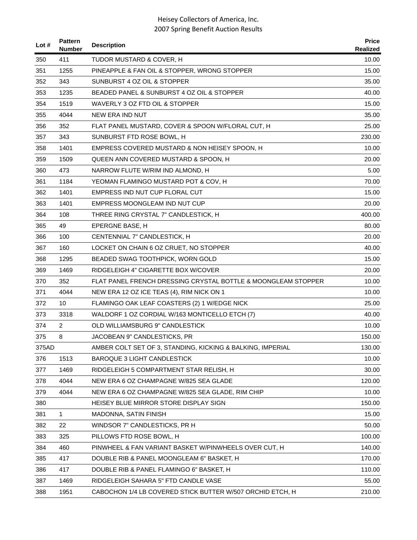| Lot $#$ | <b>Pattern</b><br><b>Number</b> | <b>Description</b>                                            | <b>Price</b><br>Realized |
|---------|---------------------------------|---------------------------------------------------------------|--------------------------|
| 350     | 411                             | TUDOR MUSTARD & COVER, H                                      | 10.00                    |
| 351     | 1255                            | PINEAPPLE & FAN OIL & STOPPER, WRONG STOPPER                  | 15.00                    |
| 352     | 343                             | SUNBURST 4 OZ OIL & STOPPER                                   | 35.00                    |
| 353     | 1235                            | BEADED PANEL & SUNBURST 4 OZ OIL & STOPPER                    | 40.00                    |
| 354     | 1519                            | WAVERLY 3 OZ FTD OIL & STOPPER                                | 15.00                    |
| 355     | 4044                            | <b>NEW ERA IND NUT</b>                                        | 35.00                    |
| 356     | 352                             | FLAT PANEL MUSTARD, COVER & SPOON W/FLORAL CUT, H             | 25.00                    |
| 357     | 343                             | SUNBURST FTD ROSE BOWL, H                                     | 230.00                   |
| 358     | 1401                            | EMPRESS COVERED MUSTARD & NON HEISEY SPOON, H                 | 10.00                    |
| 359     | 1509                            | QUEEN ANN COVERED MUSTARD & SPOON, H                          | 20.00                    |
| 360     | 473                             | NARROW FLUTE W/RIM IND ALMOND, H                              | 5.00                     |
| 361     | 1184                            | YEOMAN FLAMINGO MUSTARD POT & COV, H                          | 70.00                    |
| 362     | 1401                            | EMPRESS IND NUT CUP FLORAL CUT                                | 15.00                    |
| 363     | 1401                            | EMPRESS MOONGLEAM IND NUT CUP                                 | 20.00                    |
| 364     | 108                             | THREE RING CRYSTAL 7" CANDLESTICK, H                          | 400.00                   |
| 365     | 49                              | EPERGNE BASE, H                                               | 80.00                    |
| 366     | 100                             | CENTENNIAL 7" CANDLESTICK, H                                  | 20.00                    |
| 367     | 160                             | LOCKET ON CHAIN 6 OZ CRUET, NO STOPPER                        | 40.00                    |
| 368     | 1295                            | BEADED SWAG TOOTHPICK, WORN GOLD                              | 15.00                    |
| 369     | 1469                            | RIDGELEIGH 4" CIGARETTE BOX W/COVER                           | 20.00                    |
| 370     | 352                             | FLAT PANEL FRENCH DRESSING CRYSTAL BOTTLE & MOONGLEAM STOPPER | 10.00                    |
| 371     | 4044                            | NEW ERA 12 OZ ICE TEAS (4), RIM NICK ON 1                     | 10.00                    |
| 372     | 10                              | FLAMINGO OAK LEAF COASTERS (2) 1 W/EDGE NICK                  | 25.00                    |
| 373     | 3318                            | WALDORF 1 OZ CORDIAL W/163 MONTICELLO ETCH (7)                | 40.00                    |
| 374     | $\overline{2}$                  | OLD WILLIAMSBURG 9" CANDLESTICK                               | 10.00                    |
| 375     | 8                               | JACOBEAN 9" CANDLESTICKS, PR                                  | 150.00                   |
| 375AD   |                                 | AMBER COLT SET OF 3, STANDING, KICKING & BALKING, IMPERIAL    | 130.00                   |
| 376     | 1513                            | BAROQUE 3 LIGHT CANDLESTICK                                   | 10.00                    |
| 377     | 1469                            | RIDGELEIGH 5 COMPARTMENT STAR RELISH, H                       | 30.00                    |
| 378     | 4044                            | NEW ERA 6 OZ CHAMPAGNE W/825 SEA GLADE                        | 120.00                   |
| 379     | 4044                            | NEW ERA 6 OZ CHAMPAGNE W/825 SEA GLADE, RIM CHIP              | 10.00                    |
| 380     |                                 | HEISEY BLUE MIRROR STORE DISPLAY SIGN                         | 150.00                   |
| 381     | $\mathbf{1}$                    | MADONNA, SATIN FINISH                                         | 15.00                    |
| 382     | 22                              | WINDSOR 7" CANDLESTICKS, PR H                                 | 50.00                    |
| 383     | 325                             | PILLOWS FTD ROSE BOWL, H                                      | 100.00                   |
| 384     | 460                             | PINWHEEL & FAN VARIANT BASKET W/PINWHEELS OVER CUT, H         | 140.00                   |
| 385     | 417                             | DOUBLE RIB & PANEL MOONGLEAM 6" BASKET, H                     | 170.00                   |
| 386     | 417                             | DOUBLE RIB & PANEL FLAMINGO 6" BASKET, H                      | 110.00                   |
| 387     | 1469                            | RIDGELEIGH SAHARA 5" FTD CANDLE VASE                          | 55.00                    |
| 388     | 1951                            | CABOCHON 1/4 LB COVERED STICK BUTTER W/507 ORCHID ETCH, H     | 210.00                   |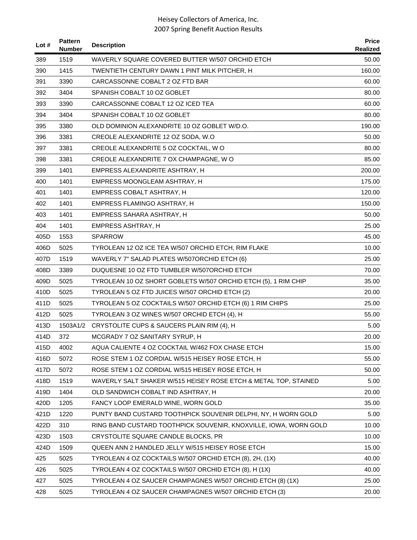| Lot # | <b>Pattern</b><br><b>Number</b> | <b>Description</b>                                               | <b>Price</b><br>Realized |
|-------|---------------------------------|------------------------------------------------------------------|--------------------------|
| 389   | 1519                            | WAVERLY SQUARE COVERED BUTTER W/507 ORCHID ETCH                  | 50.00                    |
| 390   | 1415                            | TWENTIETH CENTURY DAWN 1 PINT MILK PITCHER, H                    | 160.00                   |
| 391   | 3390                            | CARCASSONNE COBALT 2 OZ FTD BAR                                  | 60.00                    |
| 392   | 3404                            | SPANISH COBALT 10 OZ GOBLET                                      | 80.00                    |
| 393   | 3390                            | CARCASSONNE COBALT 12 OZ ICED TEA                                | 60.00                    |
| 394   | 3404                            | SPANISH COBALT 10 OZ GOBLET                                      | 80.00                    |
| 395   | 3380                            | OLD DOMINION ALEXANDRITE 10 OZ GOBLET W/D.O.                     | 190.00                   |
| 396   | 3381                            | CREOLE ALEXANDRITE 12 OZ SODA, W.O.                              | 50.00                    |
| 397   | 3381                            | CREOLE ALEXANDRITE 5 OZ COCKTAIL, W O                            | 80.00                    |
| 398   | 3381                            | CREOLE ALEXANDRITE 7 OX CHAMPAGNE, W O                           | 85.00                    |
| 399   | 1401                            | EMPRESS ALEXANDRITE ASHTRAY, H                                   | 200.00                   |
| 400   | 1401                            | EMPRESS MOONGLEAM ASHTRAY, H                                     | 175.00                   |
| 401   | 1401                            | EMPRESS COBALT ASHTRAY, H                                        | 120.00                   |
| 402   | 1401                            | EMPRESS FLAMINGO ASHTRAY, H                                      | 150.00                   |
| 403   | 1401                            | EMPRESS SAHARA ASHTRAY, H                                        | 50.00                    |
| 404   | 1401                            | <b>EMPRESS ASHTRAY, H</b>                                        | 25.00                    |
| 405D  | 1553                            | <b>SPARROW</b>                                                   | 45.00                    |
| 406D  | 5025                            | TYROLEAN 12 OZ ICE TEA W/507 ORCHID ETCH, RIM FLAKE              | 10.00                    |
| 407D  | 1519                            | WAVERLY 7" SALAD PLATES W/507ORCHID ETCH (6)                     | 25.00                    |
| 408D  | 3389                            | DUQUESNE 10 OZ FTD TUMBLER W/507ORCHID ETCH                      | 70.00                    |
| 409D  | 5025                            | TYROLEAN 10 OZ SHORT GOBLETS W/507 ORCHID ETCH (5), 1 RIM CHIP   | 35.00                    |
| 410D  | 5025                            | TYROLEAN 5 OZ FTD JUICES W/507 ORCHID ETCH (2)                   | 20.00                    |
| 411D  | 5025                            | TYROLEAN 5 OZ COCKTAILS W/507 ORCHID ETCH (6) 1 RIM CHIPS        | 25.00                    |
| 412D  | 5025                            | TYROLEAN 3 OZ WINES W/507 ORCHID ETCH (4), H                     | 55.00                    |
| 413D  | 1503A1/2                        | CRYSTOLITE CUPS & SAUCERS PLAIN RIM (4), H                       | 5.00                     |
| 414D  | 372                             | MCGRADY 7 OZ SANITARY SYRUP, H                                   | 20.00                    |
| 415D  | 4002                            | AQUA CALIENTE 4 OZ COCKTAIL W/462 FOX CHASE ETCH                 | 15.00                    |
| 416D  | 5072                            | ROSE STEM 1 OZ CORDIAL W/515 HEISEY ROSE ETCH, H                 | 55.00                    |
| 417D  | 5072                            | ROSE STEM 1 OZ CORDIAL W/515 HEISEY ROSE ETCH, H                 | 50.00                    |
| 418D  | 1519                            | WAVERLY SALT SHAKER W/515 HEISEY ROSE ETCH & METAL TOP, STAINED  | 5.00                     |
| 419D  | 1404                            | OLD SANDWICH COBALT IND ASHTRAY, H                               | 20.00                    |
| 420D  | 1205                            | FANCY LOOP EMERALD WINE, WORN GOLD                               | 35.00                    |
| 421D  | 1220                            | PUNTY BAND CUSTARD TOOTHPICK SOUVENIR DELPHI, NY, H WORN GOLD    | 5.00                     |
| 422D  | 310                             | RING BAND CUSTARD TOOTHPICK SOUVENIR, KNOXVILLE, IOWA, WORN GOLD | 10.00                    |
| 423D  | 1503                            | CRYSTOLITE SQUARE CANDLE BLOCKS, PR                              | 10.00                    |
| 424D  | 1509                            | QUEEN ANN 2 HANDLED JELLY W/515 HEISEY ROSE ETCH                 | 15.00                    |
| 425   | 5025                            | TYROLEAN 4 OZ COCKTAILS W/507 ORCHID ETCH (8), 2H, (1X)          | 40.00                    |
| 426   | 5025                            | TYROLEAN 4 OZ COCKTAILS W/507 ORCHID ETCH (8), H (1X)            | 40.00                    |
| 427   | 5025                            | TYROLEAN 4 OZ SAUCER CHAMPAGNES W/507 ORCHID ETCH (8) (1X)       | 25.00                    |
| 428   | 5025                            | TYROLEAN 4 OZ SAUCER CHAMPAGNES W/507 ORCHID ETCH (3)            | 20.00                    |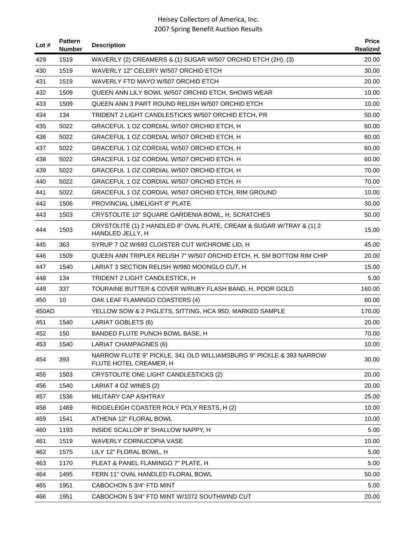| Lot # | <b>Pattern</b><br><b>Number</b> | <b>Description</b>                                                                            | <b>Price</b><br>Realized |
|-------|---------------------------------|-----------------------------------------------------------------------------------------------|--------------------------|
| 429   | 1519                            | WAVERLY (2) CREAMERS & (1) SUGAR W/507 ORCHID ETCH (2H), (3)                                  | 20.00                    |
| 430   | 1519                            | WAVERLY 12" CELERY W/507 ORCHID ETCH                                                          | 30.00                    |
| 431   | 1519                            | WAVERLY FTD MAYO W/507 ORCHID ETCH                                                            | 20.00                    |
| 432   | 1509                            | QUEEN ANN LILY BOWL W/507 ORCHID ETCH, SHOWS WEAR                                             | 10.00                    |
| 433   | 1509                            | QUEEN ANN 3 PART ROUND RELISH W/507 ORCHID ETCH                                               | 10.00                    |
| 434   | 134                             | TRIDENT 2 LIGHT CANDLESTICKS W/507 ORCHID ETCH, PR                                            | 50.00                    |
| 435   | 5022                            | GRACEFUL 1 OZ CORDIAL W/507 ORCHID ETCH, H                                                    | 60.00                    |
| 436   | 5022                            | GRACEFUL 1 OZ CORDIAL W/507 ORCHID ETCH, H                                                    | 60.00                    |
| 437   | 5022                            | GRACEFUL 1 OZ CORDIAL W/507 ORCHID ETCH, H                                                    | 60.00                    |
| 438   | 5022                            | GRACEFUL 1 OZ CORDIAL W/507 ORCHID ETCH, H                                                    | 60.00                    |
| 439   | 5022                            | GRACEFUL 1 OZ CORDIAL W/507 ORCHID ETCH, H                                                    | 70.00                    |
| 440   | 5022                            | GRACEFUL 1 OZ CORDIAL W/507 ORCHID ETCH, H                                                    | 70.00                    |
| 441   | 5022                            | GRACEFUL 1 OZ CORDIAL W/507 ORCHID ETCH, RIM GROUND                                           | 10.00                    |
| 442   | 1506                            | <b>PROVINCIAL LIMELIGHT 8" PLATE</b>                                                          | 30.00                    |
| 443   | 1503                            | CRYSTOLITE 10" SQUARE GARDENIA BOWL, H, SCRATCHES                                             | 50.00                    |
| 444   | 1503                            | CRYSTOLITE (1) 2 HANDLED 8" OVAL PLATE, CREAM & SUGAR W/TRAY & (1) 2<br>HANDLED JELLY, H      | 15.00                    |
| 445   | 363                             | SYRUP 7 OZ W/693 CLOISTER CUT W/CHROME LID, H                                                 | 45.00                    |
| 446   | 1509                            | QUEEN ANN TRIPLEX RELISH 7" W/507 ORCHID ETCH, H, SM BOTTOM RIM CHIP                          | 20.00                    |
| 447   | 1540                            | LARIAT 3 SECTION RELISH W/980 MOONGLO CUT, H                                                  | 15.00                    |
| 448   | 134                             | TRIDENT 2 LIGHT CANDLESTICK, H                                                                | 5.00                     |
| 449   | 337                             | TOURAINE BUTTER & COVER W/RUBY FLASH BAND, H, POOR GOLD                                       | 160.00                   |
| 450   | 10                              | OAK LEAF FLAMINGO COASTERS (4)                                                                | 60.00                    |
| 450AD |                                 | YELLOW SOW & 2 PIGLETS, SITTING, HCA 95D, MARKED SAMPLE                                       | 170.00                   |
| 451   | 1540                            | LARIAT GOBLETS (6)                                                                            | 20.00                    |
| 452   | 150                             | BANDED FLUTE PUNCH BOWL BASE, H                                                               | 70.00                    |
| 453   | 1540                            | LARIAT CHAMPAGNES (6)                                                                         | 10.00                    |
| 454   | 393                             | NARROW FLUTE 9" PICKLE, 341 OLD WILLIAMSBURG 9" PICKLE & 393 NARROW<br>FLUTE HOTEL CREAMER, H | 30.00                    |
| 455   | 1503                            | CRYSTOLITE ONE LIGHT CANDLESTICKS (2)                                                         | 20.00                    |
| 456   | 1540                            | LARIAT 4 OZ WINES (2)                                                                         | 20.00                    |
| 457   | 1536                            | MILITARY CAP ASHTRAY                                                                          | 25.00                    |
| 458   | 1469                            | RIDGELEIGH COASTER ROLY POLY RESTS, H (2)                                                     | 10.00                    |
| 459   | 1541                            | ATHENA 12" FLORAL BOWL                                                                        | 10.00                    |
| 460   | 1193                            | INSIDE SCALLOP 8" SHALLOW NAPPY, H                                                            | 5.00                     |
| 461   | 1519                            | <b>WAVERLY CORNUCOPIA VASE</b>                                                                | 10.00                    |
| 462   | 1575                            | LILY 12" FLORAL BOWL, H                                                                       | 5.00                     |
| 463   | 1170                            | PLEAT & PANEL FLAMINGO 7" PLATE, H                                                            | 5.00                     |
| 464   | 1495                            | FERN 11" OVAL HANDLED FLORAL BOWL                                                             | 50.00                    |
| 465   | 1951                            | CABOCHON 5 3/4" FTD MINT                                                                      | 5.00                     |
| 466   | 1951                            | CABOCHON 5 3/4" FTD MINT W/1072 SOUTHWIND CUT                                                 | 20.00                    |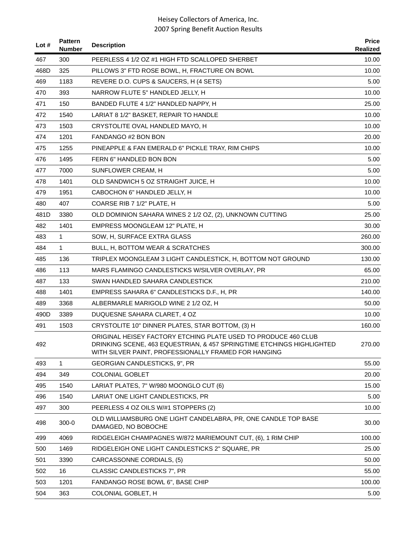| Lot # | <b>Pattern</b><br><b>Number</b> | <b>Description</b>                                                                                                                                                                              | <b>Price</b><br>Realized |
|-------|---------------------------------|-------------------------------------------------------------------------------------------------------------------------------------------------------------------------------------------------|--------------------------|
| 467   | 300                             | PEERLESS 4 1/2 OZ #1 HIGH FTD SCALLOPED SHERBET                                                                                                                                                 | 10.00                    |
| 468D  | 325                             | PILLOWS 3" FTD ROSE BOWL, H, FRACTURE ON BOWL                                                                                                                                                   | 10.00                    |
| 469   | 1183                            | REVERE D.O. CUPS & SAUCERS, H (4 SETS)                                                                                                                                                          | 5.00                     |
| 470   | 393                             | NARROW FLUTE 5" HANDLED JELLY, H                                                                                                                                                                | 10.00                    |
| 471   | 150                             | BANDED FLUTE 4 1/2" HANDLED NAPPY, H                                                                                                                                                            | 25.00                    |
| 472   | 1540                            | LARIAT 8 1/2" BASKET, REPAIR TO HANDLE                                                                                                                                                          | 10.00                    |
| 473   | 1503                            | CRYSTOLITE OVAL HANDLED MAYO, H                                                                                                                                                                 | 10.00                    |
| 474   | 1201                            | FANDANGO #2 BON BON                                                                                                                                                                             | 20.00                    |
| 475   | 1255                            | PINEAPPLE & FAN EMERALD 6" PICKLE TRAY, RIM CHIPS                                                                                                                                               | 10.00                    |
| 476   | 1495                            | FERN 6" HANDLED BON BON                                                                                                                                                                         | 5.00                     |
| 477   | 7000                            | SUNFLOWER CREAM, H                                                                                                                                                                              | 5.00                     |
| 478   | 1401                            | OLD SANDWICH 5 OZ STRAIGHT JUICE, H                                                                                                                                                             | 10.00                    |
| 479   | 1951                            | CABOCHON 6" HANDLED JELLY, H                                                                                                                                                                    | 10.00                    |
| 480   | 407                             | COARSE RIB 7 1/2" PLATE, H                                                                                                                                                                      | 5.00                     |
| 481D  | 3380                            | OLD DOMINION SAHARA WINES 2 1/2 OZ, (2), UNKNOWN CUTTING                                                                                                                                        | 25.00                    |
| 482   | 1401                            | EMPRESS MOONGLEAM 12" PLATE, H                                                                                                                                                                  | 30.00                    |
| 483   | $\mathbf{1}$                    | SOW, H, SURFACE EXTRA GLASS                                                                                                                                                                     | 260.00                   |
| 484   | $\mathbf{1}$                    | BULL, H, BOTTOM WEAR & SCRATCHES                                                                                                                                                                | 300.00                   |
| 485   | 136                             | TRIPLEX MOONGLEAM 3 LIGHT CANDLESTICK, H, BOTTOM NOT GROUND                                                                                                                                     | 130.00                   |
| 486   | 113                             | MARS FLAMINGO CANDLESTICKS W/SILVER OVERLAY, PR                                                                                                                                                 | 65.00                    |
| 487   | 133                             | SWAN HANDLED SAHARA CANDLESTICK                                                                                                                                                                 | 210.00                   |
| 488   | 1401                            | EMPRESS SAHARA 6" CANDLESTICKS D.F., H, PR                                                                                                                                                      | 140.00                   |
| 489   | 3368                            | ALBERMARLE MARIGOLD WINE 2 1/2 OZ, H                                                                                                                                                            | 50.00                    |
| 490D  | 3389                            | DUQUESNE SAHARA CLARET, 4 OZ                                                                                                                                                                    | 10.00                    |
| 491   | 1503                            | CRYSTOLITE 10" DINNER PLATES, STAR BOTTOM, (3) H                                                                                                                                                | 160.00                   |
| 492   |                                 | ORIGINAL HEISEY FACTORY ETCHING PLATE USED TO PRODUCE 460 CLUB<br>DRINKING SCENE, 463 EQUESTRIAN, & 457 SPRINGTIME ETCHINGS HIGHLIGHTED<br>WITH SILVER PAINT, PROFESSIONALLY FRAMED FOR HANGING | 270.00                   |
| 493   | 1                               | GEORGIAN CANDLESTICKS, 9", PR                                                                                                                                                                   | 55.00                    |
| 494   | 349                             | <b>COLONIAL GOBLET</b>                                                                                                                                                                          | 20.00                    |
| 495   | 1540                            | LARIAT PLATES, 7" W/980 MOONGLO CUT (6)                                                                                                                                                         | 15.00                    |
| 496   | 1540                            | LARIAT ONE LIGHT CANDLESTICKS, PR                                                                                                                                                               | 5.00                     |
| 497   | 300                             | PEERLESS 4 OZ OILS W/#1 STOPPERS (2)                                                                                                                                                            | 10.00                    |
| 498   | $300 - 0$                       | OLD WILLIAMSBURG ONE LIGHT CANDELABRA, PR, ONE CANDLE TOP BASE<br>DAMAGED, NO BOBOCHE                                                                                                           | 30.00                    |
| 499   | 4069                            | RIDGELEIGH CHAMPAGNES W/872 MARIEMOUNT CUT, (6), 1 RIM CHIP                                                                                                                                     | 100.00                   |
| 500   | 1469                            | RIDGELEIGH ONE LIGHT CANDLESTICKS 2" SQUARE, PR                                                                                                                                                 | 25.00                    |
| 501   | 3390                            | CARCASSONNE CORDIALS, (5)                                                                                                                                                                       | 50.00                    |
| 502   | 16                              | CLASSIC CANDLESTICKS 7", PR                                                                                                                                                                     | 55.00                    |
| 503   | 1201                            | FANDANGO ROSE BOWL 6", BASE CHIP                                                                                                                                                                | 100.00                   |
| 504   | 363                             | COLONIAL GOBLET, H                                                                                                                                                                              | 5.00                     |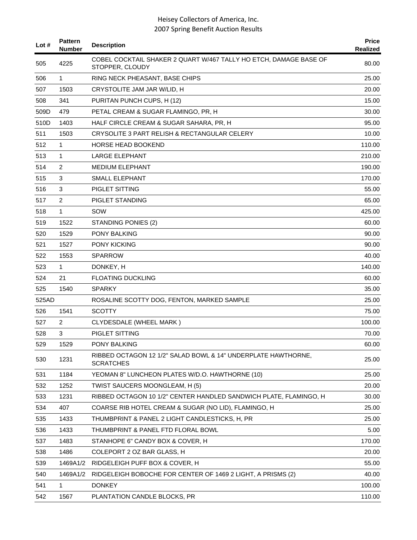| Lot $#$ | <b>Pattern</b><br><b>Number</b> | <b>Description</b>                                                                   | <b>Price</b><br>Realized |
|---------|---------------------------------|--------------------------------------------------------------------------------------|--------------------------|
| 505     | 4225                            | COBEL COCKTAIL SHAKER 2 QUART W/467 TALLY HO ETCH, DAMAGE BASE OF<br>STOPPER, CLOUDY | 80.00                    |
| 506     | $\mathbf{1}$                    | RING NECK PHEASANT, BASE CHIPS                                                       | 25.00                    |
| 507     | 1503                            | CRYSTOLITE JAM JAR W/LID, H                                                          | 20.00                    |
| 508     | 341                             | PURITAN PUNCH CUPS, H (12)                                                           | 15.00                    |
| 509D    | 479                             | PETAL CREAM & SUGAR FLAMINGO, PR, H                                                  | 30.00                    |
| 510D    | 1403                            | HALF CIRCLE CREAM & SUGAR SAHARA, PR, H                                              | 95.00                    |
| 511     | 1503                            | CRYSOLITE 3 PART RELISH & RECTANGULAR CELERY                                         | 10.00                    |
| 512     | 1                               | <b>HORSE HEAD BOOKEND</b>                                                            | 110.00                   |
| 513     | 1                               | <b>LARGE ELEPHANT</b>                                                                | 210.00                   |
| 514     | $\overline{2}$                  | <b>MEDIUM ELEPHANT</b>                                                               | 190.00                   |
| 515     | 3                               | <b>SMALL ELEPHANT</b>                                                                | 170.00                   |
| 516     | 3                               | <b>PIGLET SITTING</b>                                                                | 55.00                    |
| 517     | $\overline{c}$                  | PIGLET STANDING                                                                      | 65.00                    |
| 518     | $\mathbf{1}$                    | SOW                                                                                  | 425.00                   |
| 519     | 1522                            | STANDING PONIES (2)                                                                  | 60.00                    |
| 520     | 1529                            | <b>PONY BALKING</b>                                                                  | 90.00                    |
| 521     | 1527                            | PONY KICKING                                                                         | 90.00                    |
| 522     | 1553                            | <b>SPARROW</b>                                                                       | 40.00                    |
| 523     | 1                               | DONKEY, H                                                                            | 140.00                   |
| 524     | 21                              | <b>FLOATING DUCKLING</b>                                                             | 60.00                    |
| 525     | 1540                            | <b>SPARKY</b>                                                                        | 35.00                    |
| 525AD   |                                 | ROSALINE SCOTTY DOG, FENTON, MARKED SAMPLE                                           | 25.00                    |
| 526     | 1541                            | <b>SCOTTY</b>                                                                        | 75.00                    |
| 527     | 2                               | CLYDESDALE (WHEEL MARK)                                                              | 100.00                   |
| 528     | 3                               | PIGLET SITTING                                                                       | 70.00                    |
| 529     | 1529                            | PONY BALKING                                                                         | 60.00                    |
| 530     | 1231                            | RIBBED OCTAGON 12 1/2" SALAD BOWL & 14" UNDERPLATE HAWTHORNE,<br><b>SCRATCHES</b>    | 25.00                    |
| 531     | 1184                            | YEOMAN 8" LUNCHEON PLATES W/D.O. HAWTHORNE (10)                                      | 25.00                    |
| 532     | 1252                            | TWIST SAUCERS MOONGLEAM, H (5)                                                       | 20.00                    |
| 533     | 1231                            | RIBBED OCTAGON 10 1/2" CENTER HANDLED SANDWICH PLATE, FLAMINGO, H                    | 30.00                    |
| 534     | 407                             | COARSE RIB HOTEL CREAM & SUGAR (NO LID), FLAMINGO, H                                 | 25.00                    |
| 535     | 1433                            | THUMBPRINT & PANEL 2 LIGHT CANDLESTICKS, H, PR                                       | 25.00                    |
| 536     | 1433                            | THUMBPRINT & PANEL FTD FLORAL BOWL                                                   | 5.00                     |
| 537     | 1483                            | STANHOPE 6" CANDY BOX & COVER, H                                                     | 170.00                   |
| 538     | 1486                            | COLEPORT 2 OZ BAR GLASS, H                                                           | 20.00                    |
| 539     | 1469A1/2                        | RIDGELEIGH PUFF BOX & COVER, H                                                       | 55.00                    |
| 540     | 1469A1/2                        | RIDGELEIGH BOBOCHE FOR CENTER OF 1469 2 LIGHT, A PRISMS (2)                          | 40.00                    |
| 541     | $\mathbf{1}$                    | <b>DONKEY</b>                                                                        | 100.00                   |
| 542     | 1567                            | PLANTATION CANDLE BLOCKS, PR                                                         | 110.00                   |
|         |                                 |                                                                                      |                          |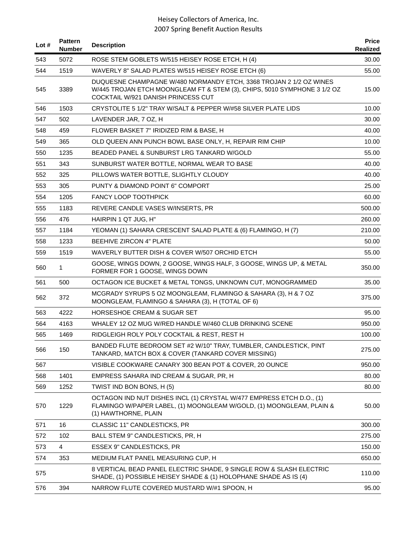| Lot # | <b>Pattern</b><br><b>Number</b> | <b>Description</b>                                                                                                                                                                   | <b>Price</b><br><b>Realized</b> |
|-------|---------------------------------|--------------------------------------------------------------------------------------------------------------------------------------------------------------------------------------|---------------------------------|
| 543   | 5072                            | ROSE STEM GOBLETS W/515 HEISEY ROSE ETCH, H (4)                                                                                                                                      | 30.00                           |
| 544   | 1519                            | WAVERLY 8" SALAD PLATES W/515 HEISEY ROSE ETCH (6)                                                                                                                                   | 55.00                           |
| 545   | 3389                            | DUQUESNE CHAMPAGNE W/480 NORMANDY ETCH, 3368 TROJAN 2 1/2 OZ WINES<br>W/445 TROJAN ETCH MOONGLEAM FT & STEM (3), CHIPS, 5010 SYMPHONE 3 1/2 OZ<br>COCKTAIL W/921 DANISH PRINCESS CUT | 15.00                           |
| 546   | 1503                            | CRYSTOLITE 5 1/2" TRAY W/SALT & PEPPER W/#58 SILVER PLATE LIDS                                                                                                                       | 10.00                           |
| 547   | 502                             | LAVENDER JAR, 7 OZ. H                                                                                                                                                                | 30.00                           |
| 548   | 459                             | FLOWER BASKET 7" IRIDIZED RIM & BASE, H                                                                                                                                              | 40.00                           |
| 549   | 365                             | OLD QUEEN ANN PUNCH BOWL BASE ONLY, H, REPAIR RIM CHIP                                                                                                                               | 10.00                           |
| 550   | 1235                            | BEADED PANEL & SUNBURST LRG TANKARD W/GOLD                                                                                                                                           | 55.00                           |
| 551   | 343                             | SUNBURST WATER BOTTLE, NORMAL WEAR TO BASE                                                                                                                                           | 40.00                           |
| 552   | 325                             | PILLOWS WATER BOTTLE, SLIGHTLY CLOUDY                                                                                                                                                | 40.00                           |
| 553   | 305                             | PUNTY & DIAMOND POINT 6" COMPORT                                                                                                                                                     | 25.00                           |
| 554   | 1205                            | <b>FANCY LOOP TOOTHPICK</b>                                                                                                                                                          | 60.00                           |
| 555   | 1183                            | REVERE CANDLE VASES W/INSERTS, PR                                                                                                                                                    | 500.00                          |
| 556   | 476                             | HAIRPIN 1 QT JUG, H"                                                                                                                                                                 | 260.00                          |
| 557   | 1184                            | YEOMAN (1) SAHARA CRESCENT SALAD PLATE & (6) FLAMINGO, H (7)                                                                                                                         | 210.00                          |
| 558   | 1233                            | <b>BEEHIVE ZIRCON 4" PLATE</b>                                                                                                                                                       | 50.00                           |
| 559   | 1519                            | WAVERLY BUTTER DISH & COVER W/507 ORCHID ETCH                                                                                                                                        | 55.00                           |
| 560   | 1                               | GOOSE, WINGS DOWN, 2 GOOSE, WINGS HALF, 3 GOOSE, WINGS UP, & METAL<br>FORMER FOR 1 GOOSE, WINGS DOWN                                                                                 | 350.00                          |
| 561   | 500                             | OCTAGON ICE BUCKET & METAL TONGS, UNKNOWN CUT, MONOGRAMMED                                                                                                                           | 35.00                           |
| 562   | 372                             | MCGRADY SYRUPS 5 OZ MOONGLEAM, FLAMINGO & SAHARA (3), H & 7 OZ<br>MOONGLEAM, FLAMINGO & SAHARA (3), H (TOTAL OF 6)                                                                   | 375.00                          |
| 563   | 4222                            | <b>HORSESHOE CREAM &amp; SUGAR SET</b>                                                                                                                                               | 95.00                           |
| 564   | 4163                            | WHALEY 12 OZ MUG W/RED HANDLE W/460 CLUB DRINKING SCENE                                                                                                                              | 950.00                          |
| 565   | 1469                            | RIDGLEIGH ROLY POLY COCKTAIL & REST, REST H                                                                                                                                          | 100.00                          |
| 566   | 150                             | BANDED FLUTE BEDROOM SET #2 W/10" TRAY, TUMBLER, CANDLESTICK, PINT<br>TANKARD, MATCH BOX & COVER (TANKARD COVER MISSING)                                                             | 275.00                          |
| 567   |                                 | VISIBLE COOKWARE CANARY 300 BEAN POT & COVER, 20 OUNCE                                                                                                                               | 950.00                          |
| 568   | 1401                            | EMPRESS SAHARA IND CREAM & SUGAR, PR, H                                                                                                                                              | 80.00                           |
| 569   | 1252                            | TWIST IND BON BONS, H (5)                                                                                                                                                            | 80.00                           |
| 570   | 1229                            | OCTAGON IND NUT DISHES INCL (1) CRYSTAL W/477 EMPRESS ETCH D.O., (1)<br>FLAMINGO W/PAPER LABEL, (1) MOONGLEAM W/GOLD, (1) MOONGLEAM, PLAIN &<br>(1) HAWTHORNE, PLAIN                 | 50.00                           |
| 571   | 16                              | CLASSIC 11" CANDLESTICKS, PR                                                                                                                                                         | 300.00                          |
| 572   | 102                             | BALL STEM 9" CANDLESTICKS, PR, H                                                                                                                                                     | 275.00                          |
| 573   | 4                               | ESSEX 9" CANDLESTICKS, PR                                                                                                                                                            | 150.00                          |
| 574   | 353                             | MEDIUM FLAT PANEL MEASURING CUP, H                                                                                                                                                   | 650.00                          |
| 575   |                                 | 8 VERTICAL BEAD PANEL ELECTRIC SHADE, 9 SINGLE ROW & SLASH ELECTRIC<br>SHADE, (1) POSSIBLE HEISEY SHADE & (1) HOLOPHANE SHADE AS IS (4)                                              | 110.00                          |
| 576   | 394                             | NARROW FLUTE COVERED MUSTARD W/#1 SPOON, H                                                                                                                                           | 95.00                           |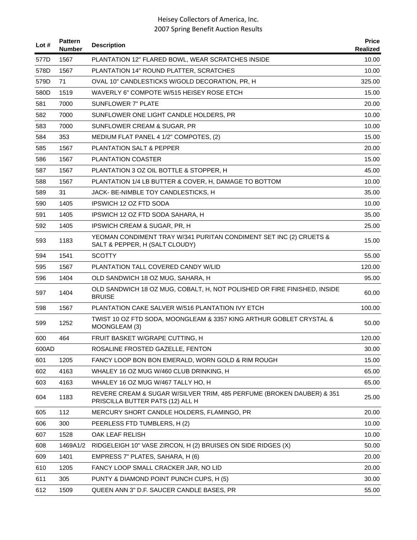| 577D<br>1567<br>PLANTATION 12" FLARED BOWL, WEAR SCRATCHES INSIDE<br>578D<br>1567<br>PLANTATION 14" ROUND PLATTER, SCRATCHES<br>71<br>579D<br>OVAL 10" CANDLESTICKS W/GOLD DECORATION, PR. H.<br>580D<br>1519<br>WAVERLY 6" COMPOTE W/515 HEISEY ROSE ETCH<br>581<br>7000<br>SUNFLOWER 7" PLATE<br>7000<br>SUNFLOWER ONE LIGHT CANDLE HOLDERS, PR<br>582<br>7000<br>583<br>SUNFLOWER CREAM & SUGAR, PR<br>353<br>MEDIUM FLAT PANEL 4 1/2" COMPOTES, (2)<br>584<br>585<br>1567<br><b>PLANTATION SALT &amp; PEPPER</b><br>586<br>1567<br><b>PLANTATION COASTER</b><br>587<br>1567<br>PLANTATION 3 OZ OIL BOTTLE & STOPPER, H<br>PLANTATION 1/4 LB BUTTER & COVER, H, DAMAGE TO BOTTOM<br>588<br>1567<br>31<br>589<br>JACK- BE-NIMBLE TOY CANDLESTICKS, H<br>1405<br><b>IPSWICH 12 OZ FTD SODA</b><br>590<br>1405<br>591<br>IPSWICH 12 OZ FTD SODA SAHARA, H<br>592<br>1405<br><b>IPSWICH CREAM &amp; SUGAR, PR, H</b><br>YEOMAN CONDIMENT TRAY W/341 PURITAN CONDIMENT SET INC (2) CRUETS &<br>593<br>1183<br>SALT & PEPPER, H (SALT CLOUDY)<br><b>SCOTTY</b><br>594<br>1541<br>PLANTATION TALL COVERED CANDY W/LID<br>595<br>1567<br>1404<br>596<br>OLD SANDWICH 18 OZ MUG, SAHARA, H<br>OLD SANDWICH 18 OZ MUG, COBALT, H, NOT POLISHED OR FIRE FINISHED, INSIDE<br>1404<br>597<br><b>BRUISE</b> | Lot # | <b>Pattern</b><br><b>Number</b> | <b>Description</b>                               | <b>Price</b><br>Realized |
|--------------------------------------------------------------------------------------------------------------------------------------------------------------------------------------------------------------------------------------------------------------------------------------------------------------------------------------------------------------------------------------------------------------------------------------------------------------------------------------------------------------------------------------------------------------------------------------------------------------------------------------------------------------------------------------------------------------------------------------------------------------------------------------------------------------------------------------------------------------------------------------------------------------------------------------------------------------------------------------------------------------------------------------------------------------------------------------------------------------------------------------------------------------------------------------------------------------------------------------------------------------------------------------------------|-------|---------------------------------|--------------------------------------------------|--------------------------|
|                                                                                                                                                                                                                                                                                                                                                                                                                                                                                                                                                                                                                                                                                                                                                                                                                                                                                                                                                                                                                                                                                                                                                                                                                                                                                                  |       |                                 |                                                  | 10.00                    |
|                                                                                                                                                                                                                                                                                                                                                                                                                                                                                                                                                                                                                                                                                                                                                                                                                                                                                                                                                                                                                                                                                                                                                                                                                                                                                                  |       |                                 |                                                  | 10.00                    |
|                                                                                                                                                                                                                                                                                                                                                                                                                                                                                                                                                                                                                                                                                                                                                                                                                                                                                                                                                                                                                                                                                                                                                                                                                                                                                                  |       |                                 |                                                  | 325.00                   |
|                                                                                                                                                                                                                                                                                                                                                                                                                                                                                                                                                                                                                                                                                                                                                                                                                                                                                                                                                                                                                                                                                                                                                                                                                                                                                                  |       |                                 |                                                  | 15.00                    |
|                                                                                                                                                                                                                                                                                                                                                                                                                                                                                                                                                                                                                                                                                                                                                                                                                                                                                                                                                                                                                                                                                                                                                                                                                                                                                                  |       |                                 |                                                  | 20.00                    |
|                                                                                                                                                                                                                                                                                                                                                                                                                                                                                                                                                                                                                                                                                                                                                                                                                                                                                                                                                                                                                                                                                                                                                                                                                                                                                                  |       |                                 |                                                  | 10.00                    |
|                                                                                                                                                                                                                                                                                                                                                                                                                                                                                                                                                                                                                                                                                                                                                                                                                                                                                                                                                                                                                                                                                                                                                                                                                                                                                                  |       |                                 |                                                  | 10.00                    |
|                                                                                                                                                                                                                                                                                                                                                                                                                                                                                                                                                                                                                                                                                                                                                                                                                                                                                                                                                                                                                                                                                                                                                                                                                                                                                                  |       |                                 |                                                  | 15.00                    |
|                                                                                                                                                                                                                                                                                                                                                                                                                                                                                                                                                                                                                                                                                                                                                                                                                                                                                                                                                                                                                                                                                                                                                                                                                                                                                                  |       |                                 |                                                  | 20.00                    |
|                                                                                                                                                                                                                                                                                                                                                                                                                                                                                                                                                                                                                                                                                                                                                                                                                                                                                                                                                                                                                                                                                                                                                                                                                                                                                                  |       |                                 |                                                  | 15.00                    |
|                                                                                                                                                                                                                                                                                                                                                                                                                                                                                                                                                                                                                                                                                                                                                                                                                                                                                                                                                                                                                                                                                                                                                                                                                                                                                                  |       |                                 |                                                  | 45.00                    |
|                                                                                                                                                                                                                                                                                                                                                                                                                                                                                                                                                                                                                                                                                                                                                                                                                                                                                                                                                                                                                                                                                                                                                                                                                                                                                                  |       |                                 |                                                  | 10.00                    |
|                                                                                                                                                                                                                                                                                                                                                                                                                                                                                                                                                                                                                                                                                                                                                                                                                                                                                                                                                                                                                                                                                                                                                                                                                                                                                                  |       |                                 |                                                  | 35.00                    |
|                                                                                                                                                                                                                                                                                                                                                                                                                                                                                                                                                                                                                                                                                                                                                                                                                                                                                                                                                                                                                                                                                                                                                                                                                                                                                                  |       |                                 |                                                  | 10.00                    |
|                                                                                                                                                                                                                                                                                                                                                                                                                                                                                                                                                                                                                                                                                                                                                                                                                                                                                                                                                                                                                                                                                                                                                                                                                                                                                                  |       |                                 |                                                  | 35.00                    |
|                                                                                                                                                                                                                                                                                                                                                                                                                                                                                                                                                                                                                                                                                                                                                                                                                                                                                                                                                                                                                                                                                                                                                                                                                                                                                                  |       |                                 |                                                  | 25.00                    |
|                                                                                                                                                                                                                                                                                                                                                                                                                                                                                                                                                                                                                                                                                                                                                                                                                                                                                                                                                                                                                                                                                                                                                                                                                                                                                                  |       |                                 |                                                  | 15.00                    |
|                                                                                                                                                                                                                                                                                                                                                                                                                                                                                                                                                                                                                                                                                                                                                                                                                                                                                                                                                                                                                                                                                                                                                                                                                                                                                                  |       |                                 |                                                  | 55.00                    |
|                                                                                                                                                                                                                                                                                                                                                                                                                                                                                                                                                                                                                                                                                                                                                                                                                                                                                                                                                                                                                                                                                                                                                                                                                                                                                                  |       |                                 |                                                  | 120.00                   |
|                                                                                                                                                                                                                                                                                                                                                                                                                                                                                                                                                                                                                                                                                                                                                                                                                                                                                                                                                                                                                                                                                                                                                                                                                                                                                                  |       |                                 |                                                  | 95.00                    |
|                                                                                                                                                                                                                                                                                                                                                                                                                                                                                                                                                                                                                                                                                                                                                                                                                                                                                                                                                                                                                                                                                                                                                                                                                                                                                                  |       |                                 |                                                  | 60.00                    |
|                                                                                                                                                                                                                                                                                                                                                                                                                                                                                                                                                                                                                                                                                                                                                                                                                                                                                                                                                                                                                                                                                                                                                                                                                                                                                                  | 598   | 1567                            | PLANTATION CAKE SALVER W/516 PLANTATION IVY ETCH | 100.00                   |
| TWIST 10 OZ FTD SODA, MOONGLEAM & 3357 KING ARTHUR GOBLET CRYSTAL &<br>599<br>1252<br>MOONGLEAM (3)                                                                                                                                                                                                                                                                                                                                                                                                                                                                                                                                                                                                                                                                                                                                                                                                                                                                                                                                                                                                                                                                                                                                                                                              |       |                                 |                                                  | 50.00                    |
| 600<br>464<br>FRUIT BASKET W/GRAPE CUTTING, H                                                                                                                                                                                                                                                                                                                                                                                                                                                                                                                                                                                                                                                                                                                                                                                                                                                                                                                                                                                                                                                                                                                                                                                                                                                    |       |                                 |                                                  | 120.00                   |
| ROSALINE FROSTED GAZELLE, FENTON<br>600AD                                                                                                                                                                                                                                                                                                                                                                                                                                                                                                                                                                                                                                                                                                                                                                                                                                                                                                                                                                                                                                                                                                                                                                                                                                                        |       |                                 |                                                  | 30.00                    |
| 1205<br>FANCY LOOP BON BON EMERALD, WORN GOLD & RIM ROUGH<br>601                                                                                                                                                                                                                                                                                                                                                                                                                                                                                                                                                                                                                                                                                                                                                                                                                                                                                                                                                                                                                                                                                                                                                                                                                                 |       |                                 |                                                  | 15.00                    |
| 4163<br>WHALEY 16 OZ MUG W/460 CLUB DRINKING, H<br>602                                                                                                                                                                                                                                                                                                                                                                                                                                                                                                                                                                                                                                                                                                                                                                                                                                                                                                                                                                                                                                                                                                                                                                                                                                           |       |                                 |                                                  | 65.00                    |
| 4163<br>WHALEY 16 OZ MUG W/467 TALLY HO, H<br>603                                                                                                                                                                                                                                                                                                                                                                                                                                                                                                                                                                                                                                                                                                                                                                                                                                                                                                                                                                                                                                                                                                                                                                                                                                                |       |                                 |                                                  | 65.00                    |
| REVERE CREAM & SUGAR W/SILVER TRIM, 485 PERFUME (BROKEN DAUBER) & 351<br>1183<br>604<br>PRISCILLA BUTTER PATS (12) ALL H                                                                                                                                                                                                                                                                                                                                                                                                                                                                                                                                                                                                                                                                                                                                                                                                                                                                                                                                                                                                                                                                                                                                                                         |       |                                 |                                                  | 25.00                    |
| 112<br>MERCURY SHORT CANDLE HOLDERS, FLAMINGO, PR<br>605                                                                                                                                                                                                                                                                                                                                                                                                                                                                                                                                                                                                                                                                                                                                                                                                                                                                                                                                                                                                                                                                                                                                                                                                                                         |       |                                 |                                                  | 20.00                    |
| 606<br>300<br>PEERLESS FTD TUMBLERS, H (2)                                                                                                                                                                                                                                                                                                                                                                                                                                                                                                                                                                                                                                                                                                                                                                                                                                                                                                                                                                                                                                                                                                                                                                                                                                                       |       |                                 |                                                  | 10.00                    |
| 1528<br>607<br>OAK LEAF RELISH                                                                                                                                                                                                                                                                                                                                                                                                                                                                                                                                                                                                                                                                                                                                                                                                                                                                                                                                                                                                                                                                                                                                                                                                                                                                   |       |                                 |                                                  | 10.00                    |
| 1469A1/2<br>RIDGELEIGH 10" VASE ZIRCON, H (2) BRUISES ON SIDE RIDGES (X)<br>608                                                                                                                                                                                                                                                                                                                                                                                                                                                                                                                                                                                                                                                                                                                                                                                                                                                                                                                                                                                                                                                                                                                                                                                                                  |       |                                 |                                                  | 50.00                    |
| 1401<br>609<br>EMPRESS 7" PLATES, SAHARA, H (6)                                                                                                                                                                                                                                                                                                                                                                                                                                                                                                                                                                                                                                                                                                                                                                                                                                                                                                                                                                                                                                                                                                                                                                                                                                                  |       |                                 |                                                  | 20.00                    |
| 610<br>1205<br>FANCY LOOP SMALL CRACKER JAR, NO LID                                                                                                                                                                                                                                                                                                                                                                                                                                                                                                                                                                                                                                                                                                                                                                                                                                                                                                                                                                                                                                                                                                                                                                                                                                              |       |                                 |                                                  | 20.00                    |
| 305<br>611<br>PUNTY & DIAMOND POINT PUNCH CUPS, H (5)                                                                                                                                                                                                                                                                                                                                                                                                                                                                                                                                                                                                                                                                                                                                                                                                                                                                                                                                                                                                                                                                                                                                                                                                                                            |       |                                 |                                                  | 30.00                    |
| QUEEN ANN 3" D.F. SAUCER CANDLE BASES, PR<br>612<br>1509                                                                                                                                                                                                                                                                                                                                                                                                                                                                                                                                                                                                                                                                                                                                                                                                                                                                                                                                                                                                                                                                                                                                                                                                                                         |       |                                 |                                                  | 55.00                    |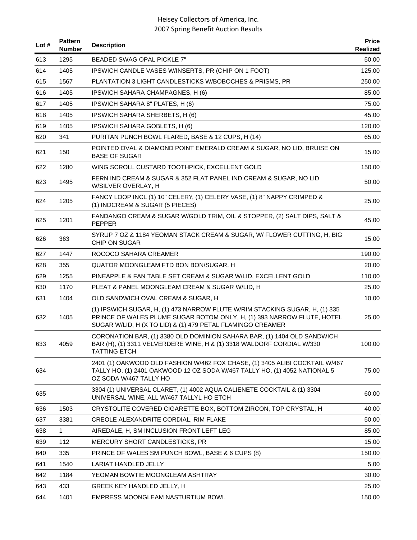| Lot # | <b>Pattern</b><br><b>Number</b> | <b>Description</b>                                                                                                                                                                                                  | <b>Price</b><br>Realized |
|-------|---------------------------------|---------------------------------------------------------------------------------------------------------------------------------------------------------------------------------------------------------------------|--------------------------|
| 613   | 1295                            | BEADED SWAG OPAL PICKLE 7"                                                                                                                                                                                          | 50.00                    |
| 614   | 1405                            | IPSWICH CANDLE VASES W/INSERTS, PR (CHIP ON 1 FOOT)                                                                                                                                                                 | 125.00                   |
| 615   | 1567                            | PLANTATION 3 LIGHT CANDLESTICKS W/BOBOCHES & PRISMS, PR                                                                                                                                                             | 250.00                   |
| 616   | 1405                            | IPSWICH SAHARA CHAMPAGNES, H (6)                                                                                                                                                                                    | 85.00                    |
| 617   | 1405                            | IPSWICH SAHARA 8" PLATES, H (6)                                                                                                                                                                                     | 75.00                    |
| 618   | 1405                            | <b>IPSWICH SAHARA SHERBETS, H (6)</b>                                                                                                                                                                               | 45.00                    |
| 619   | 1405                            | IPSWICH SAHARA GOBLETS, H (6)                                                                                                                                                                                       | 120.00                   |
| 620   | 341                             | PURITAN PUNCH BOWL FLARED, BASE & 12 CUPS, H (14)                                                                                                                                                                   | 65.00                    |
| 621   | 150                             | POINTED OVAL & DIAMOND POINT EMERALD CREAM & SUGAR, NO LID, BRUISE ON<br><b>BASE OF SUGAR</b>                                                                                                                       | 15.00                    |
| 622   | 1280                            | WING SCROLL CUSTARD TOOTHPICK, EXCELLENT GOLD                                                                                                                                                                       | 150.00                   |
| 623   | 1495                            | FERN IND CREAM & SUGAR & 352 FLAT PANEL IND CREAM & SUGAR, NO LID<br>W/SILVER OVERLAY, H                                                                                                                            | 50.00                    |
| 624   | 1205                            | FANCY LOOP INCL (1) 10" CELERY, (1) CELERY VASE, (1) 8" NAPPY CRIMPED &<br>(1) INDCREAM & SUGAR (5 PIECES)                                                                                                          | 25.00                    |
| 625   | 1201                            | FANDANGO CREAM & SUGAR W/GOLD TRIM, OIL & STOPPER, (2) SALT DIPS, SALT &<br><b>PEPPER</b>                                                                                                                           | 45.00                    |
| 626   | 363                             | SYRUP 7 OZ & 1184 YEOMAN STACK CREAM & SUGAR, W/ FLOWER CUTTING, H, BIG<br>CHIP ON SUGAR                                                                                                                            | 15.00                    |
| 627   | 1447                            | ROCOCO SAHARA CREAMER                                                                                                                                                                                               | 190.00                   |
| 628   | 355                             | QUATOR MOONGLEAM FTD BON BON/SUGAR, H                                                                                                                                                                               | 20.00                    |
| 629   | 1255                            | PINEAPPLE & FAN TABLE SET CREAM & SUGAR W/LID, EXCELLENT GOLD                                                                                                                                                       | 110.00                   |
| 630   | 1170                            | PLEAT & PANEL MOONGLEAM CREAM & SUGAR W/LID, H                                                                                                                                                                      | 25.00                    |
| 631   | 1404                            | OLD SANDWICH OVAL CREAM & SUGAR, H                                                                                                                                                                                  | 10.00                    |
| 632   | 1405                            | (1) IPSWICH SUGAR, H, (1) 473 NARROW FLUTE W/RIM STACKING SUGAR, H, (1) 335<br>PRINCE OF WALES PLUME SUGAR BOTOM ONLY, H, (1) 393 NARROW FLUTE, HOTEL<br>SUGAR W/LID, H (X TO LID) & (1) 479 PETAL FLAMINGO CREAMER | 25.00                    |
| 633   | 4059                            | CORONATION BAR, (1) 3380 OLD DOMINION SAHARA BAR, (1) 1404 OLD SANDWICH<br>BAR (H), (1) 3311 VELVERDERE WINE, H & (1) 3318 WALDORF CORDIAL W/330<br><b>TATTING ETCH</b>                                             | 100.00                   |
| 634   |                                 | 2401 (1) OAKWOOD OLD FASHION W/462 FOX CHASE, (1) 3405 ALIBI COCKTAIL W/467<br>TALLY HO, (1) 2401 OAKWOOD 12 OZ SODA W/467 TALLY HO, (1) 4052 NATIONAL 5<br>OZ SODA W/467 TALLY HO                                  | 75.00                    |
| 635   |                                 | 3304 (1) UNIVERSAL CLARET, (1) 4002 AQUA CALIENETE COCKTAIL & (1) 3304<br>UNIVERSAL WINE, ALL W/467 TALLYL HO ETCH                                                                                                  | 60.00                    |
| 636   | 1503                            | CRYSTOLITE COVERED CIGARETTE BOX, BOTTOM ZIRCON, TOP CRYSTAL, H                                                                                                                                                     | 40.00                    |
| 637   | 3381                            | CREOLE ALEXANDRITE CORDIAL, RIM FLAKE                                                                                                                                                                               | 50.00                    |
| 638   | 1                               | AIREDALE, H, SM INCLUSION FRONT LEFT LEG                                                                                                                                                                            | 85.00                    |
| 639   | 112                             | MERCURY SHORT CANDLESTICKS, PR                                                                                                                                                                                      | 15.00                    |
| 640   | 335                             | PRINCE OF WALES SM PUNCH BOWL, BASE & 6 CUPS (8)                                                                                                                                                                    | 150.00                   |
| 641   | 1540                            | LARIAT HANDLED JELLY                                                                                                                                                                                                | 5.00                     |
| 642   | 1184                            | YEOMAN BOWTIE MOONGLEAM ASHTRAY                                                                                                                                                                                     | 30.00                    |
| 643   | 433                             | GREEK KEY HANDLED JELLY, H                                                                                                                                                                                          | 25.00                    |
| 644   | 1401                            | EMPRESS MOONGLEAM NASTURTIUM BOWL                                                                                                                                                                                   | 150.00                   |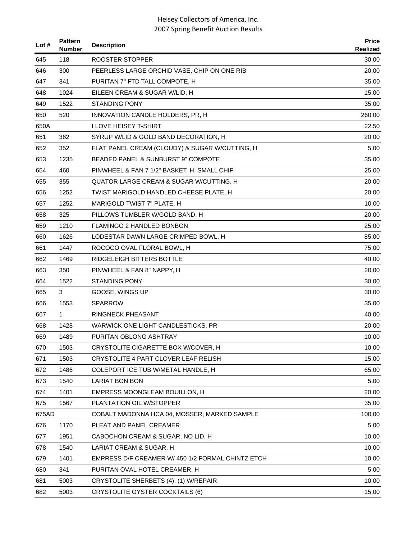| Lot # | <b>Pattern</b><br>Number | <b>Description</b>                                | <b>Price</b><br>Realized |
|-------|--------------------------|---------------------------------------------------|--------------------------|
| 645   | 118                      | ROOSTER STOPPER                                   | 30.00                    |
| 646   | 300                      | PEERLESS LARGE ORCHID VASE, CHIP ON ONE RIB       | 20.00                    |
| 647   | 341                      | PURITAN 7" FTD TALL COMPOTE, H                    | 35.00                    |
| 648   | 1024                     | EILEEN CREAM & SUGAR W/LID, H                     | 15.00                    |
| 649   | 1522                     | STANDING PONY                                     | 35.00                    |
| 650   | 520                      | INNOVATION CANDLE HOLDERS, PR, H                  | 260.00                   |
| 650A  |                          | I LOVE HEISEY T-SHIRT                             | 22.50                    |
| 651   | 362                      | SYRUP W/LID & GOLD BAND DECORATION, H             | 20.00                    |
| 652   | 352                      | FLAT PANEL CREAM (CLOUDY) & SUGAR W/CUTTING, H    | 5.00                     |
| 653   | 1235                     | BEADED PANEL & SUNBURST 9" COMPOTE                | 35.00                    |
| 654   | 460                      | PINWHEEL & FAN 7 1/2" BASKET, H, SMALL CHIP       | 25.00                    |
| 655   | 355                      | QUATOR LARGE CREAM & SUGAR W/CUTTING, H           | 20.00                    |
| 656   | 1252                     | TWIST MARIGOLD HANDLED CHEESE PLATE, H            | 20.00                    |
| 657   | 1252                     | MARIGOLD TWIST 7" PLATE, H                        | 10.00                    |
| 658   | 325                      | PILLOWS TUMBLER W/GOLD BAND, H                    | 20.00                    |
| 659   | 1210                     | <b>FLAMINGO 2 HANDLED BONBON</b>                  | 25.00                    |
| 660   | 1626                     | LODESTAR DAWN LARGE CRIMPED BOWL, H               | 85.00                    |
| 661   | 1447                     | ROCOCO OVAL FLORAL BOWL, H                        | 75.00                    |
| 662   | 1469                     | RIDGELEIGH BITTERS BOTTLE                         | 40.00                    |
| 663   | 350                      | PINWHEEL & FAN 8" NAPPY, H                        | 20.00                    |
| 664   | 1522                     | <b>STANDING PONY</b>                              | 30.00                    |
| 665   | 3                        | GOOSE, WINGS UP                                   | 30.00                    |
| 666   | 1553                     | <b>SPARROW</b>                                    | 35.00                    |
| 667   | 1                        | RINGNECK PHEASANT                                 | 40.00                    |
| 668   | 1428                     | WARWICK ONE LIGHT CANDLESTICKS, PR                | 20.00                    |
| 669   | 1489                     | PURITAN OBLONG ASHTRAY                            | 10.00                    |
| 670   | 1503                     | CRYSTOLITE CIGARETTE BOX W/COVER, H               | 10.00                    |
| 671   | 1503                     | CRYSTOLITE 4 PART CLOVER LEAF RELISH              | 15.00                    |
| 672   | 1486                     | COLEPORT ICE TUB W/METAL HANDLE, H                | 65.00                    |
| 673   | 1540                     | <b>LARIAT BON BON</b>                             | 5.00                     |
| 674   | 1401                     | EMPRESS MOONGLEAM BOUILLON, H                     | 20.00                    |
| 675   | 1567                     | PLANTATION OIL W/STOPPER                          | 35.00                    |
| 675AD |                          | COBALT MADONNA HCA 04, MOSSER, MARKED SAMPLE      | 100.00                   |
| 676   | 1170                     | PLEAT AND PANEL CREAMER                           | 5.00                     |
| 677   | 1951                     | CABOCHON CREAM & SUGAR, NO LID, H                 | 10.00                    |
| 678   | 1540                     | LARIAT CREAM & SUGAR, H                           | 10.00                    |
| 679   | 1401                     | EMPRESS D/F CREAMER W/ 450 1/2 FORMAL CHINTZ ETCH | 10.00                    |
| 680   | 341                      | PURITAN OVAL HOTEL CREAMER, H                     | 5.00                     |
| 681   | 5003                     | CRYSTOLITE SHERBETS (4), (1) W/REPAIR             | 10.00                    |
| 682   | 5003                     | CRYSTOLITE OYSTER COCKTAILS (6)                   | 15.00                    |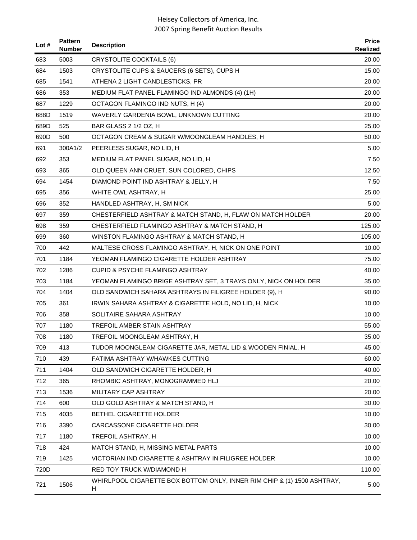| Lot $#$ | <b>Pattern</b><br><b>Number</b> | <b>Description</b>                                                           | <b>Price</b><br><b>Realized</b> |
|---------|---------------------------------|------------------------------------------------------------------------------|---------------------------------|
| 683     | 5003                            | <b>CRYSTOLITE COCKTAILS (6)</b>                                              | 20.00                           |
| 684     | 1503                            | CRYSTOLITE CUPS & SAUCERS (6 SETS), CUPS H                                   | 15.00                           |
| 685     | 1541                            | ATHENA 2 LIGHT CANDLESTICKS, PR                                              | 20.00                           |
| 686     | 353                             | MEDIUM FLAT PANEL FLAMINGO IND ALMONDS (4) (1H)                              | 20.00                           |
| 687     | 1229                            | OCTAGON FLAMINGO IND NUTS, H (4)                                             | 20.00                           |
| 688D    | 1519                            | WAVERLY GARDENIA BOWL, UNKNOWN CUTTING                                       | 20.00                           |
| 689D    | 525                             | BAR GLASS 2 1/2 OZ, H                                                        | 25.00                           |
| 690D    | 500                             | OCTAGON CREAM & SUGAR W/MOONGLEAM HANDLES. H                                 | 50.00                           |
| 691     | 300A1/2                         | PEERLESS SUGAR, NO LID, H                                                    | 5.00                            |
| 692     | 353                             | MEDIUM FLAT PANEL SUGAR, NO LID, H                                           | 7.50                            |
| 693     | 365                             | OLD QUEEN ANN CRUET, SUN COLORED, CHIPS                                      | 12.50                           |
| 694     | 1454                            | DIAMOND POINT IND ASHTRAY & JELLY, H                                         | 7.50                            |
| 695     | 356                             | WHITE OWL ASHTRAY, H                                                         | 25.00                           |
| 696     | 352                             | HANDLED ASHTRAY, H, SM NICK                                                  | 5.00                            |
| 697     | 359                             | CHESTERFIELD ASHTRAY & MATCH STAND, H, FLAW ON MATCH HOLDER                  | 20.00                           |
| 698     | 359                             | CHESTERFIELD FLAMINGO ASHTRAY & MATCH STAND, H                               | 125.00                          |
| 699     | 360                             | WINSTON FLAMINGO ASHTRAY & MATCH STAND, H                                    | 105.00                          |
| 700     | 442                             | MALTESE CROSS FLAMINGO ASHTRAY, H, NICK ON ONE POINT                         | 10.00                           |
| 701     | 1184                            | YEOMAN FLAMINGO CIGARETTE HOLDER ASHTRAY                                     | 75.00                           |
| 702     | 1286                            | <b>CUPID &amp; PSYCHE FLAMINGO ASHTRAY</b>                                   | 40.00                           |
| 703     | 1184                            | YEOMAN FLAMINGO BRIGE ASHTRAY SET, 3 TRAYS ONLY, NICK ON HOLDER              | 35.00                           |
| 704     | 1404                            | OLD SANDWICH SAHARA ASHTRAYS IN FILIGREE HOLDER (9), H                       | 90.00                           |
| 705     | 361                             | IRWIN SAHARA ASHTRAY & CIGARETTE HOLD, NO LID, H, NICK                       | 10.00                           |
| 706     | 358                             | SOLITAIRE SAHARA ASHTRAY                                                     | 10.00                           |
| 707     | 1180                            | TREFOIL AMBER STAIN ASHTRAY                                                  | 55.00                           |
| 708     | 1180                            | TREFOIL MOONGLEAM ASHTRAY, H                                                 | 35.00                           |
| 709     | 413                             | TUDOR MOONGLEAM CIGARETTE JAR, METAL LID & WOODEN FINIAL, H                  | 45.00                           |
| 710     | 439                             | FATIMA ASHTRAY W/HAWKES CUTTING                                              | 60.00                           |
| 711     | 1404                            | OLD SANDWICH CIGARETTE HOLDER, H                                             | 40.00                           |
| 712     | 365                             | RHOMBIC ASHTRAY, MONOGRAMMED HLJ                                             | 20.00                           |
| 713     | 1536                            | MILITARY CAP ASHTRAY                                                         | 20.00                           |
| 714     | 600                             | OLD GOLD ASHTRAY & MATCH STAND, H                                            | 30.00                           |
| 715     | 4035                            | BETHEL CIGARETTE HOLDER                                                      | 10.00                           |
| 716     | 3390                            | CARCASSONE CIGARETTE HOLDER                                                  | 30.00                           |
| 717     | 1180                            | TREFOIL ASHTRAY, H                                                           | 10.00                           |
| 718     | 424                             | MATCH STAND, H, MISSING METAL PARTS                                          | 10.00                           |
| 719     | 1425                            | VICTORIAN IND CIGARETTE & ASHTRAY IN FILIGREE HOLDER                         | 10.00                           |
| 720D    |                                 | RED TOY TRUCK W/DIAMOND H                                                    | 110.00                          |
| 721     | 1506                            | WHIRLPOOL CIGARETTE BOX BOTTOM ONLY, INNER RIM CHIP & (1) 1500 ASHTRAY,<br>H | 5.00                            |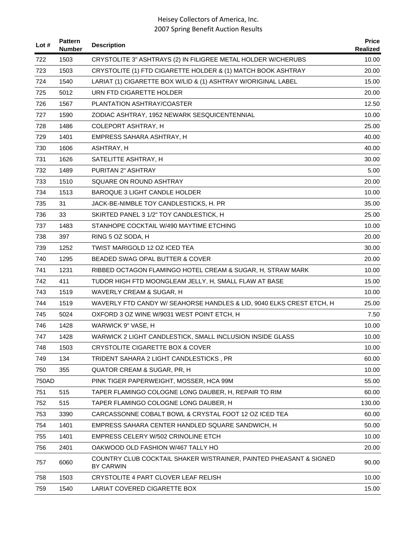| Lot $#$ | <b>Pattern</b><br><b>Number</b> | <b>Description</b>                                                                     | <b>Price</b><br>Realized |
|---------|---------------------------------|----------------------------------------------------------------------------------------|--------------------------|
| 722     | 1503                            | CRYSTOLITE 3" ASHTRAYS (2) IN FILIGREE METAL HOLDER W/CHERUBS                          | 10.00                    |
| 723     | 1503                            | CRYSTOLITE (1) FTD CIGARETTE HOLDER & (1) MATCH BOOK ASHTRAY                           | 20.00                    |
| 724     | 1540                            | LARIAT (1) CIGARETTE BOX W/LID & (1) ASHTRAY W/ORIGINAL LABEL                          | 15.00                    |
| 725     | 5012                            | URN FTD CIGARETTE HOLDER                                                               | 20.00                    |
| 726     | 1567                            | PLANTATION ASHTRAY/COASTER                                                             | 12.50                    |
| 727     | 1590                            | ZODIAC ASHTRAY, 1952 NEWARK SESQUICENTENNIAL                                           | 10.00                    |
| 728     | 1486                            | COLEPORT ASHTRAY, H                                                                    | 25.00                    |
| 729     | 1401                            | EMPRESS SAHARA ASHTRAY, H                                                              | 40.00                    |
| 730     | 1606                            | ASHTRAY, H                                                                             | 40.00                    |
| 731     | 1626                            | SATELITTE ASHTRAY, H                                                                   | 30.00                    |
| 732     | 1489                            | PURITAN 2" ASHTRAY                                                                     | 5.00                     |
| 733     | 1510                            | SQUARE ON ROUND ASHTRAY                                                                | 20.00                    |
| 734     | 1513                            | BAROQUE 3 LIGHT CANDLE HOLDER                                                          | 10.00                    |
| 735     | 31                              | JACK-BE-NIMBLE TOY CANDLESTICKS, H. PR                                                 | 35.00                    |
| 736     | 33                              | SKIRTED PANEL 3 1/2" TOY CANDLESTICK, H                                                | 25.00                    |
| 737     | 1483                            | STANHOPE COCKTAIL W/490 MAYTIME ETCHING                                                | 10.00                    |
| 738     | 397                             | RING 5 OZ SODA, H                                                                      | 20.00                    |
| 739     | 1252                            | <b>TWIST MARIGOLD 12 OZ ICED TEA</b>                                                   | 30.00                    |
| 740     | 1295                            | BEADED SWAG OPAL BUTTER & COVER                                                        | 20.00                    |
| 741     | 1231                            | RIBBED OCTAGON FLAMINGO HOTEL CREAM & SUGAR, H, STRAW MARK                             | 10.00                    |
| 742     | 411                             | TUDOR HIGH FTD MOONGLEAM JELLY, H, SMALL FLAW AT BASE                                  | 15.00                    |
| 743     | 1519                            | WAVERLY CREAM & SUGAR, H                                                               | 10.00                    |
| 744     | 1519                            | WAVERLY FTD CANDY W/ SEAHORSE HANDLES & LID, 9040 ELKS CREST ETCH, H                   | 25.00                    |
| 745     | 5024                            | OXFORD 3 OZ WINE W/9031 WEST POINT ETCH, H                                             | 7.50                     |
| 746     | 1428                            | WARWICK 9" VASE, H                                                                     | 10.00                    |
| 747     | 1428                            | WARWICK 2 LIGHT CANDLESTICK, SMALL INCLUSION INSIDE GLASS                              | 10.00                    |
| 748     | 1503                            | CRYSTOLITE CIGARETTE BOX & COVER                                                       | 10.00                    |
| 749     | 134                             | TRIDENT SAHARA 2 LIGHT CANDLESTICKS, PR                                                | 60.00                    |
| 750     | 355                             | QUATOR CREAM & SUGAR, PR, H                                                            | 10.00                    |
| 750AD   |                                 | PINK TIGER PAPERWEIGHT, MOSSER, HCA 99M                                                | 55.00                    |
| 751     | 515                             | TAPER FLAMINGO COLOGNE LONG DAUBER, H, REPAIR TO RIM                                   | 60.00                    |
| 752     | 515                             | TAPER FLAMINGO COLOGNE LONG DAUBER, H                                                  | 130.00                   |
| 753     | 3390                            | CARCASSONNE COBALT BOWL & CRYSTAL FOOT 12 OZ ICED TEA                                  | 60.00                    |
| 754     | 1401                            | EMPRESS SAHARA CENTER HANDLED SQUARE SANDWICH, H                                       | 50.00                    |
| 755     | 1401                            | EMPRESS CELERY W/502 CRINOLINE ETCH                                                    | 10.00                    |
| 756     | 2401                            | OAKWOOD OLD FASHION W/467 TALLY HO                                                     | 20.00                    |
| 757     | 6060                            | COUNTRY CLUB COCKTAIL SHAKER W/STRAINER, PAINTED PHEASANT & SIGNED<br><b>BY CARWIN</b> | 90.00                    |
| 758     | 1503                            | CRYSTOLITE 4 PART CLOVER LEAF RELISH                                                   | 10.00                    |
| 759     | 1540                            | LARIAT COVERED CIGARETTE BOX                                                           | 15.00                    |